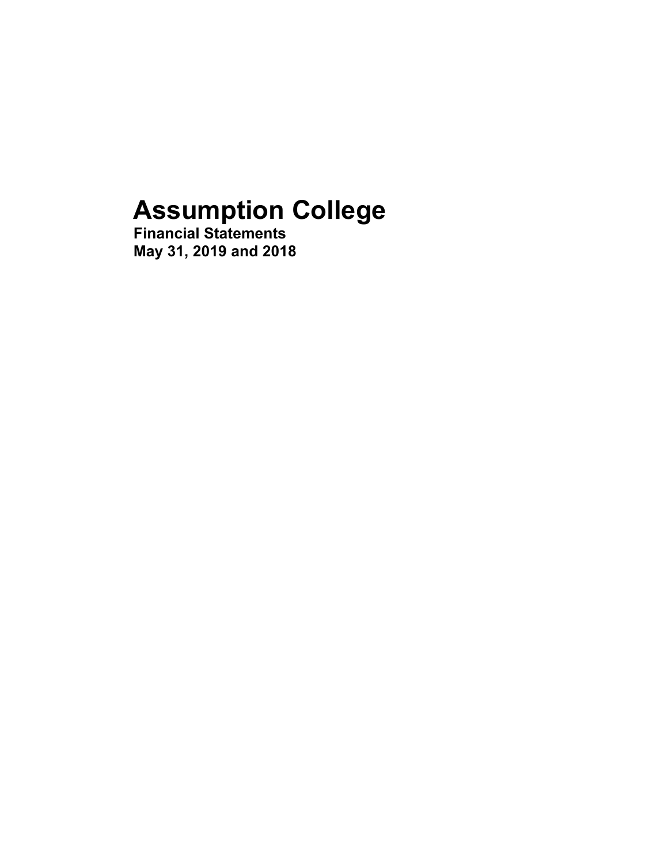# **Assumption College**

**Financial Statements May 31, 2019 and 2018**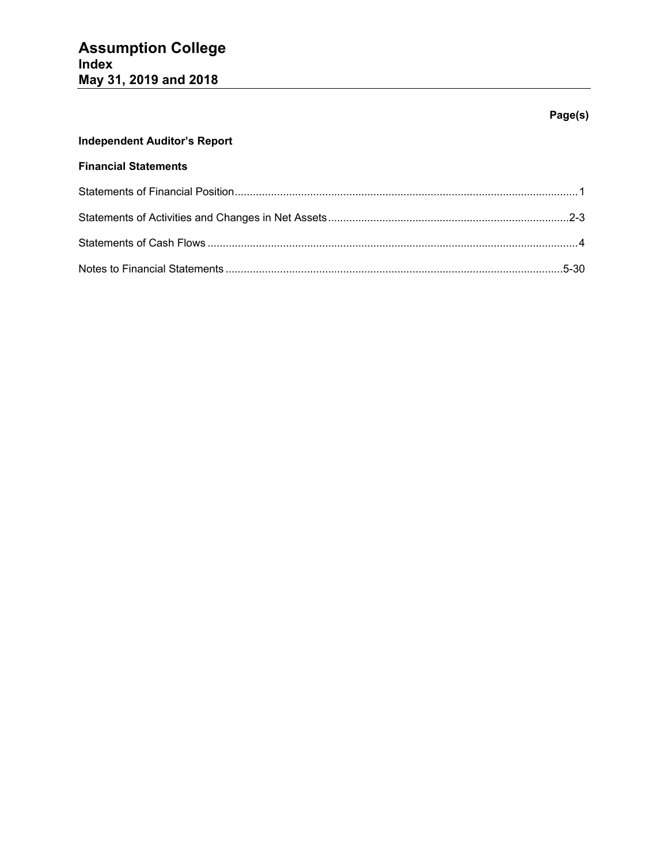# **Page(s)**

# **Independent Auditor's Report**

# **Financial Statements**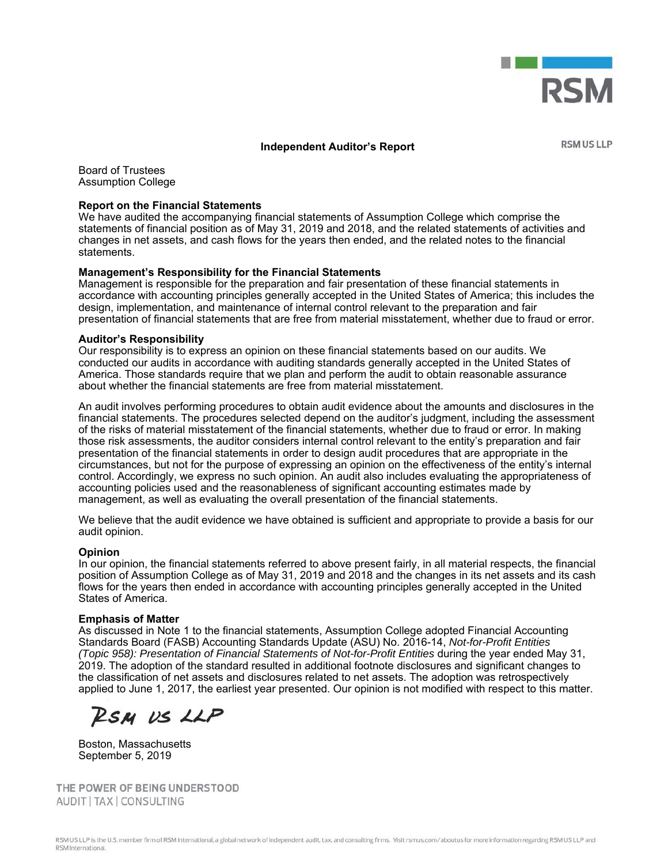

#### **Independent Auditor's Report**

**RSM US LLP** 

Board of Trustees Assumption College

#### **Report on the Financial Statements**

We have audited the accompanying financial statements of Assumption College which comprise the statements of financial position as of May 31, 2019 and 2018, and the related statements of activities and changes in net assets, and cash flows for the years then ended, and the related notes to the financial statements.

#### **Management's Responsibility for the Financial Statements**

Management is responsible for the preparation and fair presentation of these financial statements in accordance with accounting principles generally accepted in the United States of America; this includes the design, implementation, and maintenance of internal control relevant to the preparation and fair presentation of financial statements that are free from material misstatement, whether due to fraud or error.

#### **Auditor's Responsibility**

Our responsibility is to express an opinion on these financial statements based on our audits. We conducted our audits in accordance with auditing standards generally accepted in the United States of America. Those standards require that we plan and perform the audit to obtain reasonable assurance about whether the financial statements are free from material misstatement.

An audit involves performing procedures to obtain audit evidence about the amounts and disclosures in the financial statements. The procedures selected depend on the auditor's judgment, including the assessment of the risks of material misstatement of the financial statements, whether due to fraud or error. In making those risk assessments, the auditor considers internal control relevant to the entity's preparation and fair presentation of the financial statements in order to design audit procedures that are appropriate in the circumstances, but not for the purpose of expressing an opinion on the effectiveness of the entity's internal control. Accordingly, we express no such opinion. An audit also includes evaluating the appropriateness of accounting policies used and the reasonableness of significant accounting estimates made by management, as well as evaluating the overall presentation of the financial statements.

We believe that the audit evidence we have obtained is sufficient and appropriate to provide a basis for our audit opinion.

#### **Opinion**

In our opinion, the financial statements referred to above present fairly, in all material respects, the financial position of Assumption College as of May 31, 2019 and 2018 and the changes in its net assets and its cash flows for the years then ended in accordance with accounting principles generally accepted in the United States of America.

#### **Emphasis of Matter**

As discussed in Note 1 to the financial statements, Assumption College adopted Financial Accounting Standards Board (FASB) Accounting Standards Update (ASU) No. 2016-14, *Not-for-Profit Entities (Topic 958): Presentation of Financial Statements of Not-for-Profit Entities* during the year ended May 31, 2019. The adoption of the standard resulted in additional footnote disclosures and significant changes to the classification of net assets and disclosures related to net assets. The adoption was retrospectively applied to June 1, 2017, the earliest year presented. Our opinion is not modified with respect to this matter.

RSM US LLP

Boston, Massachusetts September 5, 2019

THE POWER OF BEING UNDERSTOOD AUDIT | TAX | CONSULTING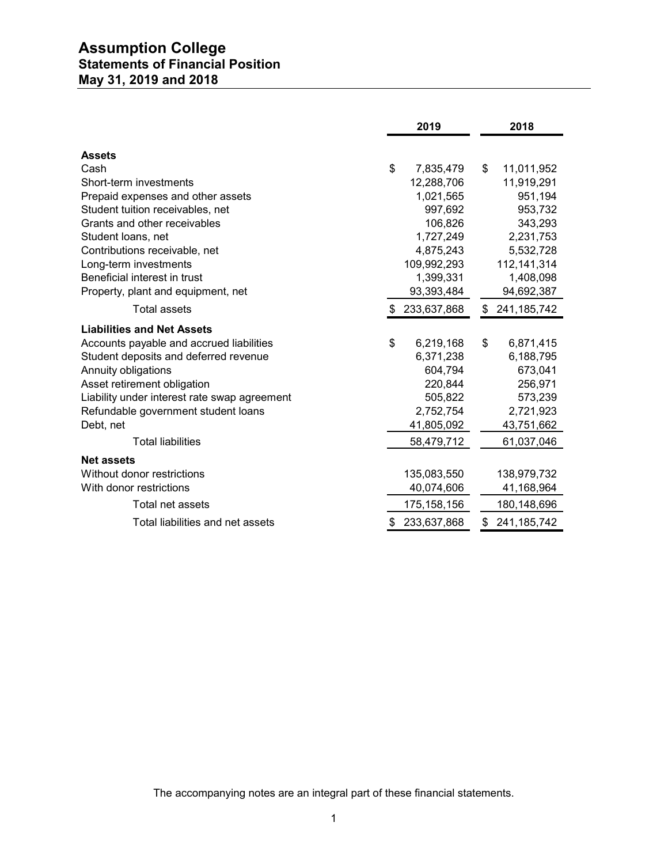# **Assumption College Statements of Financial Position May 31, 2019 and 2018**

|                                                                  | 2019                     | 2018                |
|------------------------------------------------------------------|--------------------------|---------------------|
| <b>Assets</b>                                                    |                          |                     |
|                                                                  | \$                       |                     |
| Cash<br>Short-term investments                                   | 7,835,479                | \$<br>11,011,952    |
|                                                                  | 12,288,706               | 11,919,291          |
| Prepaid expenses and other assets                                | 1,021,565                | 951,194             |
| Student tuition receivables, net<br>Grants and other receivables | 997,692                  | 953,732             |
|                                                                  | 106,826                  | 343,293             |
| Student loans, net                                               | 1,727,249                | 2,231,753           |
| Contributions receivable, net                                    | 4,875,243<br>109,992,293 | 5,532,728           |
| Long-term investments<br>Beneficial interest in trust            |                          | 112, 141, 314       |
|                                                                  | 1,399,331                | 1,408,098           |
| Property, plant and equipment, net                               | 93,393,484               | 94,692,387          |
| <b>Total assets</b>                                              | \$233,637,868            | \$241,185,742       |
| <b>Liabilities and Net Assets</b>                                |                          |                     |
| Accounts payable and accrued liabilities                         | \$<br>6,219,168          | \$<br>6,871,415     |
| Student deposits and deferred revenue                            | 6,371,238                | 6,188,795           |
| Annuity obligations                                              | 604,794                  | 673,041             |
| Asset retirement obligation                                      | 220,844                  | 256,971             |
| Liability under interest rate swap agreement                     | 505,822                  | 573,239             |
| Refundable government student loans                              | 2,752,754                | 2,721,923           |
| Debt, net                                                        | 41,805,092               | 43,751,662          |
| <b>Total liabilities</b>                                         | 58,479,712               | 61,037,046          |
| <b>Net assets</b>                                                |                          |                     |
| Without donor restrictions                                       | 135,083,550              | 138,979,732         |
| With donor restrictions                                          | 40,074,606               | 41,168,964          |
| Total net assets                                                 | 175, 158, 156            | 180,148,696         |
| Total liabilities and net assets                                 | 233,637,868              | \$<br>241, 185, 742 |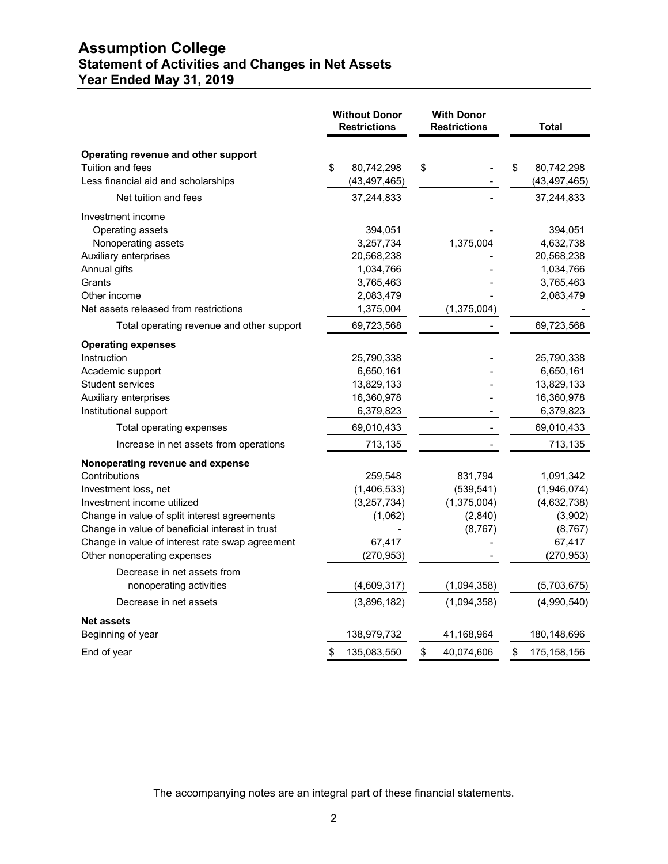# **Assumption College Statement of Activities and Changes in Net Assets Year Ended May 31, 2019**

|                                                                                                                                                                                                                                                                                                                             | <b>Without Donor</b><br><b>Restrictions</b> |                                                                            | <b>With Donor</b><br><b>Restrictions</b> |                                                             | <b>Total</b>                                                                           |
|-----------------------------------------------------------------------------------------------------------------------------------------------------------------------------------------------------------------------------------------------------------------------------------------------------------------------------|---------------------------------------------|----------------------------------------------------------------------------|------------------------------------------|-------------------------------------------------------------|----------------------------------------------------------------------------------------|
| Operating revenue and other support<br>Tuition and fees<br>Less financial aid and scholarships                                                                                                                                                                                                                              | \$                                          | 80,742,298<br>(43, 497, 465)                                               | \$                                       |                                                             | \$<br>80,742,298<br>(43, 497, 465)                                                     |
| Net tuition and fees                                                                                                                                                                                                                                                                                                        |                                             | 37,244,833                                                                 |                                          |                                                             | 37,244,833                                                                             |
| Investment income<br>Operating assets<br>Nonoperating assets<br>Auxiliary enterprises<br>Annual gifts                                                                                                                                                                                                                       |                                             | 394,051<br>3,257,734<br>20,568,238<br>1,034,766                            |                                          | 1,375,004                                                   | 394,051<br>4,632,738<br>20,568,238<br>1,034,766                                        |
| Grants                                                                                                                                                                                                                                                                                                                      |                                             | 3,765,463                                                                  |                                          |                                                             | 3,765,463                                                                              |
| Other income<br>Net assets released from restrictions                                                                                                                                                                                                                                                                       |                                             | 2,083,479<br>1,375,004                                                     |                                          | (1,375,004)                                                 | 2,083,479                                                                              |
| Total operating revenue and other support                                                                                                                                                                                                                                                                                   |                                             | 69,723,568                                                                 |                                          |                                                             | 69,723,568                                                                             |
| <b>Operating expenses</b><br>Instruction<br>Academic support<br>Student services<br>Auxiliary enterprises                                                                                                                                                                                                                   |                                             | 25,790,338<br>6,650,161<br>13,829,133<br>16,360,978                        |                                          |                                                             | 25,790,338<br>6,650,161<br>13,829,133<br>16,360,978                                    |
| Institutional support                                                                                                                                                                                                                                                                                                       |                                             | 6,379,823                                                                  |                                          |                                                             | 6,379,823                                                                              |
| Total operating expenses                                                                                                                                                                                                                                                                                                    |                                             | 69,010,433                                                                 |                                          |                                                             | 69,010,433                                                                             |
| Increase in net assets from operations                                                                                                                                                                                                                                                                                      |                                             | 713,135                                                                    |                                          |                                                             | 713,135                                                                                |
| Nonoperating revenue and expense<br>Contributions<br>Investment loss, net<br>Investment income utilized<br>Change in value of split interest agreements<br>Change in value of beneficial interest in trust<br>Change in value of interest rate swap agreement<br>Other nonoperating expenses<br>Decrease in net assets from |                                             | 259,548<br>(1,406,533)<br>(3, 257, 734)<br>(1,062)<br>67,417<br>(270, 953) |                                          | 831,794<br>(539, 541)<br>(1,375,004)<br>(2,840)<br>(8, 767) | 1,091,342<br>(1,946,074)<br>(4,632,738)<br>(3,902)<br>(8, 767)<br>67,417<br>(270, 953) |
| nonoperating activities                                                                                                                                                                                                                                                                                                     |                                             | (4,609,317)                                                                |                                          | (1,094,358)                                                 | (5,703,675)                                                                            |
| Decrease in net assets                                                                                                                                                                                                                                                                                                      |                                             | (3,896,182)                                                                |                                          | (1,094,358)                                                 | (4,990,540)                                                                            |
| <b>Net assets</b><br>Beginning of year                                                                                                                                                                                                                                                                                      |                                             | 138,979,732                                                                |                                          | 41,168,964                                                  | 180,148,696                                                                            |
| End of year                                                                                                                                                                                                                                                                                                                 | \$                                          | 135,083,550                                                                | \$                                       | 40,074,606                                                  | \$<br>175, 158, 156                                                                    |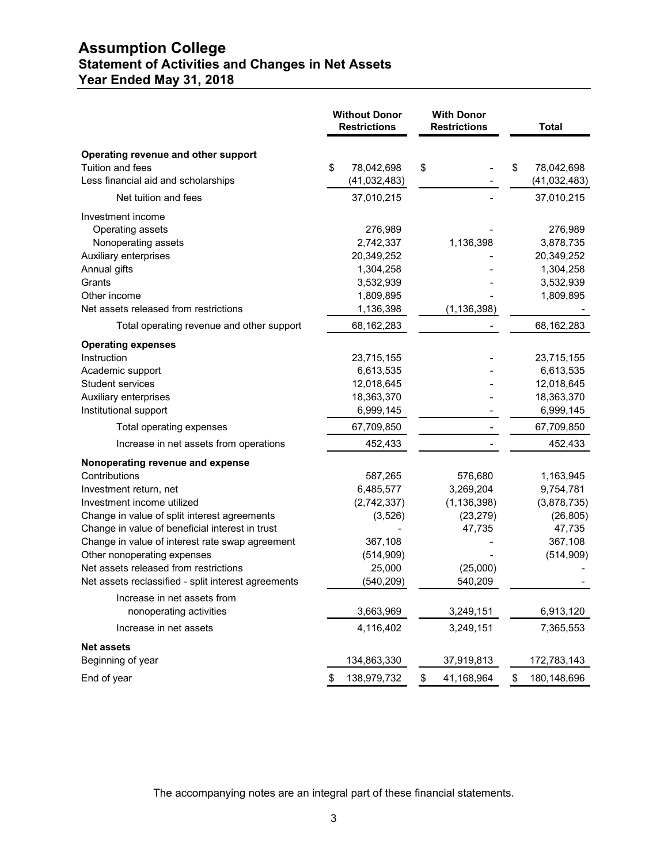# **Assumption College Statement of Activities and Changes in Net Assets Year Ended May 31, 2018**

|                                                                                                                                                                                                                                                                                                                                                                                                                                                                                    | <b>Without Donor</b><br><b>Restrictions</b> |                                                                                                                           | <b>With Donor</b><br><b>Restrictions</b>                                                                      | <b>Total</b> |                                                                                                                |
|------------------------------------------------------------------------------------------------------------------------------------------------------------------------------------------------------------------------------------------------------------------------------------------------------------------------------------------------------------------------------------------------------------------------------------------------------------------------------------|---------------------------------------------|---------------------------------------------------------------------------------------------------------------------------|---------------------------------------------------------------------------------------------------------------|--------------|----------------------------------------------------------------------------------------------------------------|
| Operating revenue and other support<br>Tuition and fees<br>Less financial aid and scholarships                                                                                                                                                                                                                                                                                                                                                                                     | \$                                          | 78,042,698<br>(41, 032, 483)                                                                                              | \$                                                                                                            | \$           | 78,042,698<br>(41,032,483)                                                                                     |
| Net tuition and fees                                                                                                                                                                                                                                                                                                                                                                                                                                                               |                                             | 37,010,215                                                                                                                |                                                                                                               |              | 37,010,215                                                                                                     |
| Investment income<br>Operating assets<br>Nonoperating assets<br>Auxiliary enterprises<br>Annual gifts<br>Grants<br>Other income<br>Net assets released from restrictions                                                                                                                                                                                                                                                                                                           |                                             | 276,989<br>2,742,337<br>20,349,252<br>1,304,258<br>3,532,939<br>1,809,895<br>1,136,398                                    | 1,136,398<br>(1, 136, 398)                                                                                    |              | 276,989<br>3,878,735<br>20,349,252<br>1,304,258<br>3,532,939<br>1,809,895                                      |
| Total operating revenue and other support                                                                                                                                                                                                                                                                                                                                                                                                                                          |                                             |                                                                                                                           |                                                                                                               |              |                                                                                                                |
|                                                                                                                                                                                                                                                                                                                                                                                                                                                                                    |                                             | 68,162,283                                                                                                                |                                                                                                               |              | 68,162,283                                                                                                     |
| <b>Operating expenses</b><br>Instruction<br>Academic support<br><b>Student services</b><br>Auxiliary enterprises<br>Institutional support                                                                                                                                                                                                                                                                                                                                          |                                             | 23,715,155<br>6,613,535<br>12,018,645<br>18,363,370<br>6,999,145                                                          |                                                                                                               |              | 23,715,155<br>6,613,535<br>12,018,645<br>18,363,370<br>6,999,145                                               |
| Total operating expenses                                                                                                                                                                                                                                                                                                                                                                                                                                                           |                                             | 67,709,850                                                                                                                |                                                                                                               |              | 67,709,850                                                                                                     |
| Increase in net assets from operations                                                                                                                                                                                                                                                                                                                                                                                                                                             |                                             | 452,433                                                                                                                   |                                                                                                               |              | 452,433                                                                                                        |
| Nonoperating revenue and expense<br>Contributions<br>Investment return, net<br>Investment income utilized<br>Change in value of split interest agreements<br>Change in value of beneficial interest in trust<br>Change in value of interest rate swap agreement<br>Other nonoperating expenses<br>Net assets released from restrictions<br>Net assets reclassified - split interest agreements<br>Increase in net assets from<br>nonoperating activities<br>Increase in net assets |                                             | 587,265<br>6,485,577<br>(2,742,337)<br>(3, 526)<br>367,108<br>(514,909)<br>25,000<br>(540, 209)<br>3,663,969<br>4,116,402 | 576,680<br>3,269,204<br>(1, 136, 398)<br>(23, 279)<br>47,735<br>(25,000)<br>540,209<br>3,249,151<br>3,249,151 |              | 1,163,945<br>9,754,781<br>(3,878,735)<br>(26, 805)<br>47,735<br>367,108<br>(514,909)<br>6,913,120<br>7,365,553 |
| <b>Net assets</b>                                                                                                                                                                                                                                                                                                                                                                                                                                                                  |                                             |                                                                                                                           |                                                                                                               |              |                                                                                                                |
| Beginning of year<br>End of year                                                                                                                                                                                                                                                                                                                                                                                                                                                   | \$                                          | 134,863,330<br>138,979,732                                                                                                | \$<br>37,919,813<br>41,168,964                                                                                | \$           | 172,783,143<br>180,148,696                                                                                     |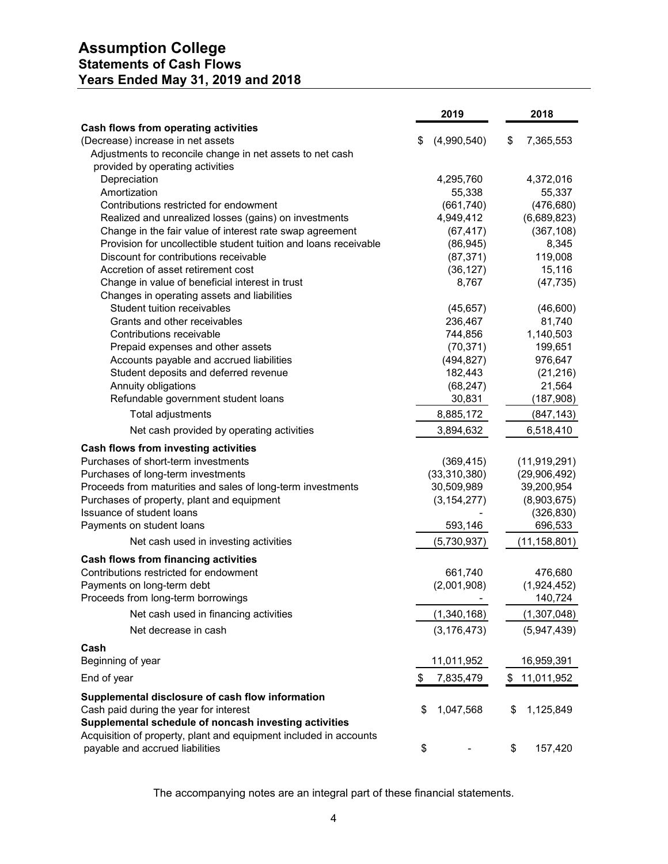# **Assumption College Statements of Cash Flows Years Ended May 31, 2019 and 2018**

|                                                                                               | 2019                | 2018                     |
|-----------------------------------------------------------------------------------------------|---------------------|--------------------------|
| Cash flows from operating activities                                                          |                     |                          |
| (Decrease) increase in net assets                                                             | (4,990,540)<br>\$   | \$<br>7,365,553          |
| Adjustments to reconcile change in net assets to net cash<br>provided by operating activities |                     |                          |
| Depreciation                                                                                  | 4,295,760           | 4,372,016                |
| Amortization                                                                                  | 55,338              | 55,337                   |
| Contributions restricted for endowment                                                        | (661, 740)          | (476, 680)               |
| Realized and unrealized losses (gains) on investments                                         | 4,949,412           | (6,689,823)              |
| Change in the fair value of interest rate swap agreement                                      | (67, 417)           | (367, 108)               |
| Provision for uncollectible student tuition and loans receivable                              | (86, 945)           | 8,345                    |
| Discount for contributions receivable                                                         | (87, 371)           | 119,008                  |
| Accretion of asset retirement cost                                                            | (36, 127)           | 15,116                   |
| Change in value of beneficial interest in trust                                               | 8,767               | (47, 735)                |
| Changes in operating assets and liabilities                                                   |                     |                          |
| Student tuition receivables                                                                   | (45, 657)           | (46, 600)                |
| Grants and other receivables                                                                  | 236,467             | 81,740                   |
| Contributions receivable                                                                      | 744,856             | 1,140,503                |
| Prepaid expenses and other assets                                                             | (70, 371)           | 199,651                  |
| Accounts payable and accrued liabilities                                                      | (494, 827)          | 976,647                  |
| Student deposits and deferred revenue                                                         | 182,443             | (21, 216)                |
| Annuity obligations                                                                           | (68, 247)           | 21,564                   |
| Refundable government student loans<br><b>Total adjustments</b>                               | 30,831<br>8,885,172 | (187, 908)<br>(847, 143) |
|                                                                                               |                     |                          |
| Net cash provided by operating activities                                                     | 3,894,632           | 6,518,410                |
| Cash flows from investing activities<br>Purchases of short-term investments                   | (369, 415)          | (11, 919, 291)           |
| Purchases of long-term investments                                                            | (33,310,380)        | (29,906,492)             |
| Proceeds from maturities and sales of long-term investments                                   | 30,509,989          | 39,200,954               |
| Purchases of property, plant and equipment                                                    | (3, 154, 277)       | (8,903,675)              |
| Issuance of student loans                                                                     |                     | (326, 830)               |
| Payments on student loans                                                                     | 593,146             | 696,533                  |
| Net cash used in investing activities                                                         | (5,730,937)         | (11, 158, 801)           |
| <b>Cash flows from financing activities</b>                                                   |                     |                          |
| Contributions restricted for endowment                                                        | 661,740             | 476,680                  |
| Payments on long-term debt                                                                    | (2,001,908)         | (1,924,452)              |
| Proceeds from long-term borrowings                                                            |                     | 140,724                  |
| Net cash used in financing activities                                                         | (1,340,168)         | (1,307,048)              |
| Net decrease in cash                                                                          | (3, 176, 473)       | (5,947,439)              |
| Cash                                                                                          |                     |                          |
| Beginning of year                                                                             | 11,011,952          | 16,959,391               |
| End of year                                                                                   | \$<br>7,835,479     | \$<br>11,011,952         |
| Supplemental disclosure of cash flow information                                              |                     |                          |
| Cash paid during the year for interest                                                        | 1,047,568<br>\$     | \$<br>1,125,849          |
| Supplemental schedule of noncash investing activities                                         |                     |                          |
| Acquisition of property, plant and equipment included in accounts                             |                     |                          |
| payable and accrued liabilities                                                               | \$                  | \$<br>157,420            |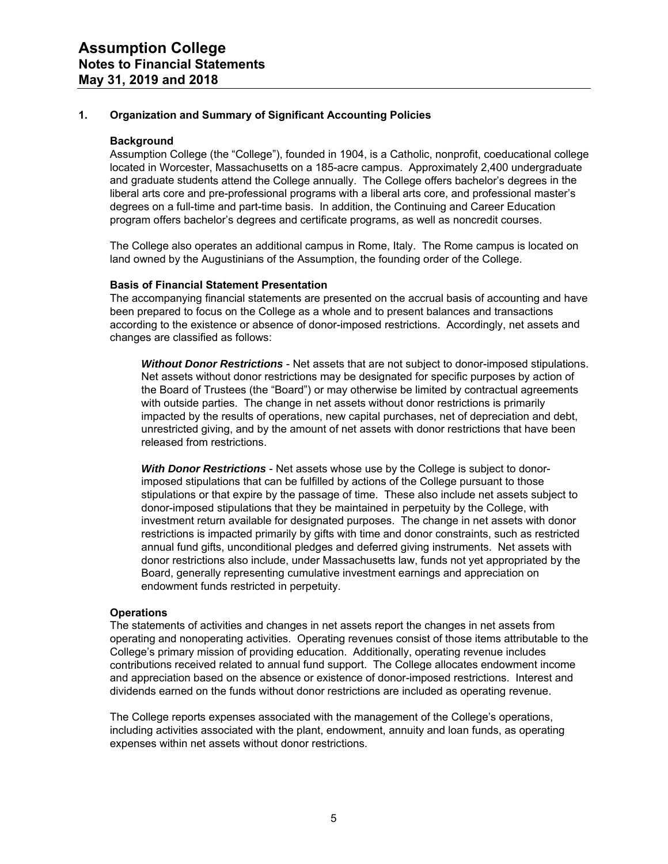## **1. Organization and Summary of Significant Accounting Policies**

#### **Background**

Assumption College (the "College"), founded in 1904, is a Catholic, nonprofit, coeducational college located in Worcester, Massachusetts on a 185-acre campus. Approximately 2,400 undergraduate and graduate students attend the College annually. The College offers bachelor's degrees in the liberal arts core and pre-professional programs with a liberal arts core, and professional master's degrees on a full-time and part-time basis. In addition, the Continuing and Career Education program offers bachelor's degrees and certificate programs, as well as noncredit courses.

The College also operates an additional campus in Rome, Italy. The Rome campus is located on land owned by the Augustinians of the Assumption, the founding order of the College.

#### **Basis of Financial Statement Presentation**

The accompanying financial statements are presented on the accrual basis of accounting and have been prepared to focus on the College as a whole and to present balances and transactions according to the existence or absence of donor-imposed restrictions. Accordingly, net assets and changes are classified as follows:

*Without Donor Restrictions* - Net assets that are not subject to donor-imposed stipulations. Net assets without donor restrictions may be designated for specific purposes by action of the Board of Trustees (the "Board") or may otherwise be limited by contractual agreements with outside parties. The change in net assets without donor restrictions is primarily impacted by the results of operations, new capital purchases, net of depreciation and debt, unrestricted giving, and by the amount of net assets with donor restrictions that have been released from restrictions.

*With Donor Restrictions* - Net assets whose use by the College is subject to donorimposed stipulations that can be fulfilled by actions of the College pursuant to those stipulations or that expire by the passage of time. These also include net assets subject to donor-imposed stipulations that they be maintained in perpetuity by the College, with investment return available for designated purposes. The change in net assets with donor restrictions is impacted primarily by gifts with time and donor constraints, such as restricted annual fund gifts, unconditional pledges and deferred giving instruments. Net assets with donor restrictions also include, under Massachusetts law, funds not yet appropriated by the Board, generally representing cumulative investment earnings and appreciation on endowment funds restricted in perpetuity.

#### **Operations**

The statements of activities and changes in net assets report the changes in net assets from operating and nonoperating activities. Operating revenues consist of those items attributable to the College's primary mission of providing education. Additionally, operating revenue includes contributions received related to annual fund support. The College allocates endowment income and appreciation based on the absence or existence of donor-imposed restrictions. Interest and dividends earned on the funds without donor restrictions are included as operating revenue.

The College reports expenses associated with the management of the College's operations, including activities associated with the plant, endowment, annuity and loan funds, as operating expenses within net assets without donor restrictions.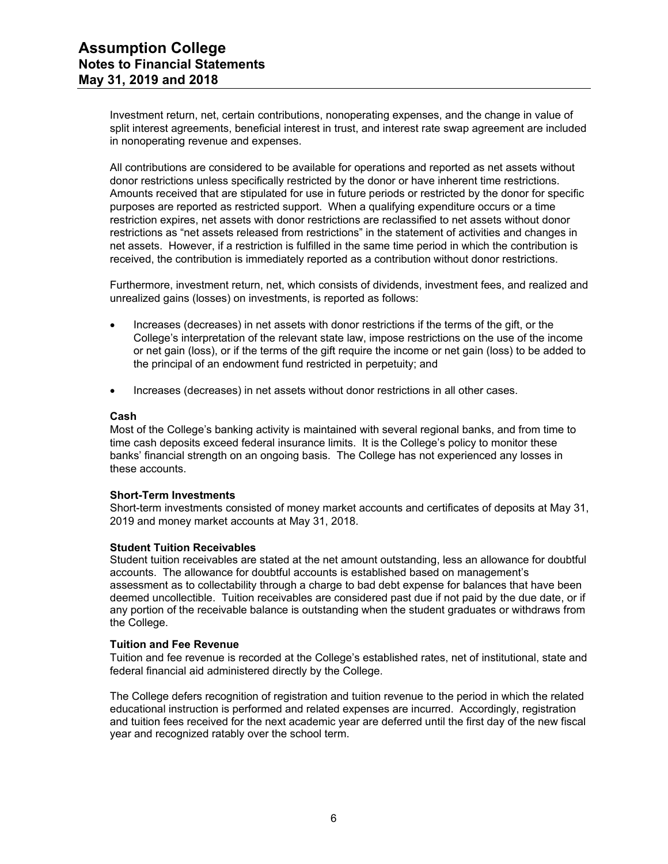Investment return, net, certain contributions, nonoperating expenses, and the change in value of split interest agreements, beneficial interest in trust, and interest rate swap agreement are included in nonoperating revenue and expenses.

All contributions are considered to be available for operations and reported as net assets without donor restrictions unless specifically restricted by the donor or have inherent time restrictions. Amounts received that are stipulated for use in future periods or restricted by the donor for specific purposes are reported as restricted support. When a qualifying expenditure occurs or a time restriction expires, net assets with donor restrictions are reclassified to net assets without donor restrictions as "net assets released from restrictions" in the statement of activities and changes in net assets. However, if a restriction is fulfilled in the same time period in which the contribution is received, the contribution is immediately reported as a contribution without donor restrictions.

Furthermore, investment return, net, which consists of dividends, investment fees, and realized and unrealized gains (losses) on investments, is reported as follows:

- Increases (decreases) in net assets with donor restrictions if the terms of the gift, or the College's interpretation of the relevant state law, impose restrictions on the use of the income or net gain (loss), or if the terms of the gift require the income or net gain (loss) to be added to the principal of an endowment fund restricted in perpetuity; and
- Increases (decreases) in net assets without donor restrictions in all other cases.

#### **Cash**

Most of the College's banking activity is maintained with several regional banks, and from time to time cash deposits exceed federal insurance limits. It is the College's policy to monitor these banks' financial strength on an ongoing basis. The College has not experienced any losses in these accounts.

#### **Short-Term Investments**

Short-term investments consisted of money market accounts and certificates of deposits at May 31, 2019 and money market accounts at May 31, 2018.

#### **Student Tuition Receivables**

Student tuition receivables are stated at the net amount outstanding, less an allowance for doubtful accounts. The allowance for doubtful accounts is established based on management's assessment as to collectability through a charge to bad debt expense for balances that have been deemed uncollectible. Tuition receivables are considered past due if not paid by the due date, or if any portion of the receivable balance is outstanding when the student graduates or withdraws from the College.

#### **Tuition and Fee Revenue**

Tuition and fee revenue is recorded at the College's established rates, net of institutional, state and federal financial aid administered directly by the College.

The College defers recognition of registration and tuition revenue to the period in which the related educational instruction is performed and related expenses are incurred. Accordingly, registration and tuition fees received for the next academic year are deferred until the first day of the new fiscal year and recognized ratably over the school term.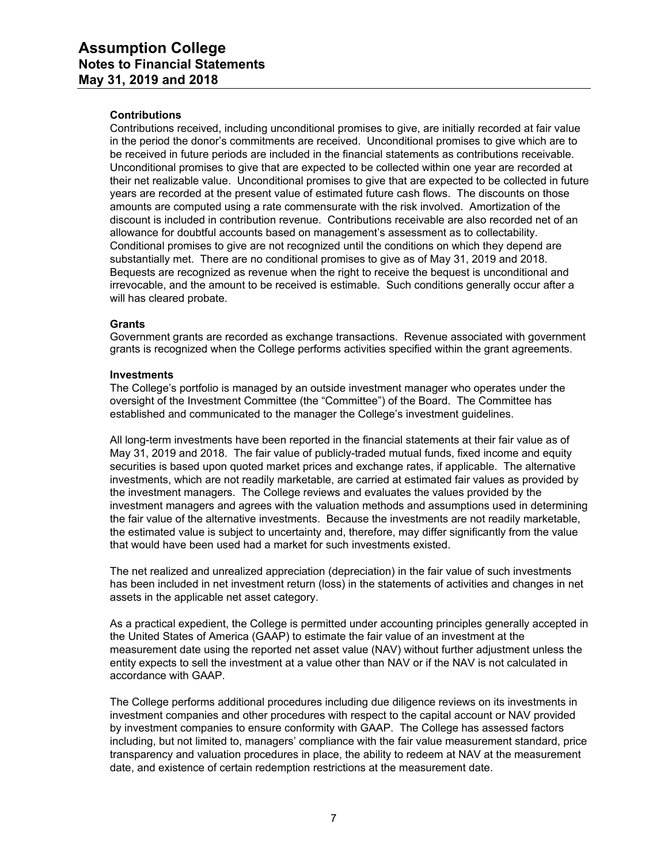## **Contributions**

Contributions received, including unconditional promises to give, are initially recorded at fair value in the period the donor's commitments are received. Unconditional promises to give which are to be received in future periods are included in the financial statements as contributions receivable. Unconditional promises to give that are expected to be collected within one year are recorded at their net realizable value. Unconditional promises to give that are expected to be collected in future years are recorded at the present value of estimated future cash flows. The discounts on those amounts are computed using a rate commensurate with the risk involved. Amortization of the discount is included in contribution revenue. Contributions receivable are also recorded net of an allowance for doubtful accounts based on management's assessment as to collectability. Conditional promises to give are not recognized until the conditions on which they depend are substantially met. There are no conditional promises to give as of May 31, 2019 and 2018. Bequests are recognized as revenue when the right to receive the bequest is unconditional and irrevocable, and the amount to be received is estimable. Such conditions generally occur after a will has cleared probate.

#### **Grants**

Government grants are recorded as exchange transactions. Revenue associated with government grants is recognized when the College performs activities specified within the grant agreements.

#### **Investments**

The College's portfolio is managed by an outside investment manager who operates under the oversight of the Investment Committee (the "Committee") of the Board. The Committee has established and communicated to the manager the College's investment guidelines.

All long-term investments have been reported in the financial statements at their fair value as of May 31, 2019 and 2018. The fair value of publicly-traded mutual funds, fixed income and equity securities is based upon quoted market prices and exchange rates, if applicable. The alternative investments, which are not readily marketable, are carried at estimated fair values as provided by the investment managers. The College reviews and evaluates the values provided by the investment managers and agrees with the valuation methods and assumptions used in determining the fair value of the alternative investments. Because the investments are not readily marketable, the estimated value is subject to uncertainty and, therefore, may differ significantly from the value that would have been used had a market for such investments existed.

The net realized and unrealized appreciation (depreciation) in the fair value of such investments has been included in net investment return (loss) in the statements of activities and changes in net assets in the applicable net asset category.

As a practical expedient, the College is permitted under accounting principles generally accepted in the United States of America (GAAP) to estimate the fair value of an investment at the measurement date using the reported net asset value (NAV) without further adjustment unless the entity expects to sell the investment at a value other than NAV or if the NAV is not calculated in accordance with GAAP.

The College performs additional procedures including due diligence reviews on its investments in investment companies and other procedures with respect to the capital account or NAV provided by investment companies to ensure conformity with GAAP. The College has assessed factors including, but not limited to, managers' compliance with the fair value measurement standard, price transparency and valuation procedures in place, the ability to redeem at NAV at the measurement date, and existence of certain redemption restrictions at the measurement date.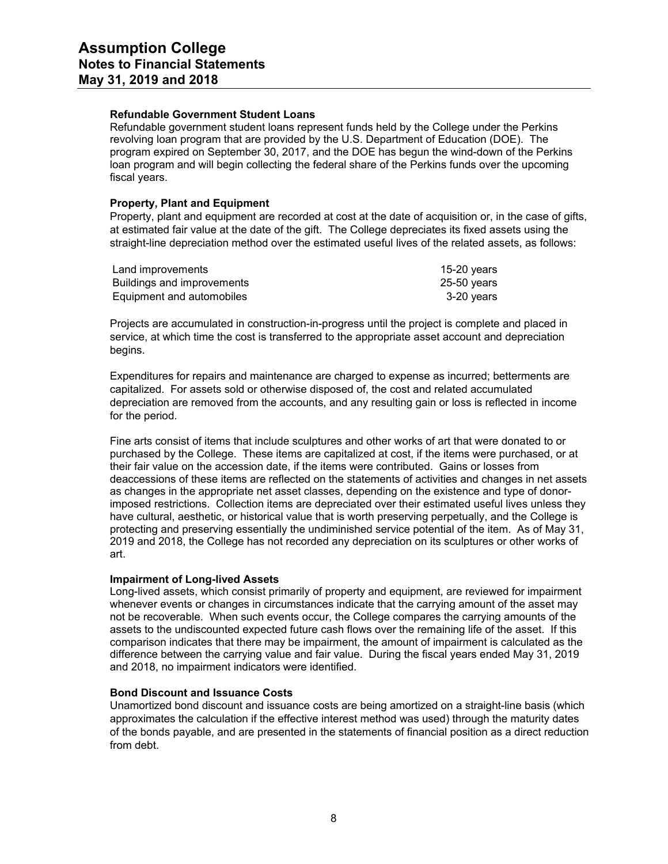## **Refundable Government Student Loans**

Refundable government student loans represent funds held by the College under the Perkins revolving loan program that are provided by the U.S. Department of Education (DOE). The program expired on September 30, 2017, and the DOE has begun the wind-down of the Perkins loan program and will begin collecting the federal share of the Perkins funds over the upcoming fiscal years.

## **Property, Plant and Equipment**

Property, plant and equipment are recorded at cost at the date of acquisition or, in the case of gifts, at estimated fair value at the date of the gift. The College depreciates its fixed assets using the straight-line depreciation method over the estimated useful lives of the related assets, as follows:

| Land improvements          | 15-20 years   |
|----------------------------|---------------|
| Buildings and improvements | $25-50$ years |
| Equipment and automobiles  | 3-20 vears    |

Projects are accumulated in construction-in-progress until the project is complete and placed in service, at which time the cost is transferred to the appropriate asset account and depreciation begins.

Expenditures for repairs and maintenance are charged to expense as incurred; betterments are capitalized. For assets sold or otherwise disposed of, the cost and related accumulated depreciation are removed from the accounts, and any resulting gain or loss is reflected in income for the period.

Fine arts consist of items that include sculptures and other works of art that were donated to or purchased by the College. These items are capitalized at cost, if the items were purchased, or at their fair value on the accession date, if the items were contributed. Gains or losses from deaccessions of these items are reflected on the statements of activities and changes in net assets as changes in the appropriate net asset classes, depending on the existence and type of donorimposed restrictions. Collection items are depreciated over their estimated useful lives unless they have cultural, aesthetic, or historical value that is worth preserving perpetually, and the College is protecting and preserving essentially the undiminished service potential of the item. As of May 31, 2019 and 2018, the College has not recorded any depreciation on its sculptures or other works of art.

#### **Impairment of Long-lived Assets**

Long-lived assets, which consist primarily of property and equipment, are reviewed for impairment whenever events or changes in circumstances indicate that the carrying amount of the asset may not be recoverable. When such events occur, the College compares the carrying amounts of the assets to the undiscounted expected future cash flows over the remaining life of the asset. If this comparison indicates that there may be impairment, the amount of impairment is calculated as the difference between the carrying value and fair value. During the fiscal years ended May 31, 2019 and 2018, no impairment indicators were identified.

#### **Bond Discount and Issuance Costs**

Unamortized bond discount and issuance costs are being amortized on a straight-line basis (which approximates the calculation if the effective interest method was used) through the maturity dates of the bonds payable, and are presented in the statements of financial position as a direct reduction from debt.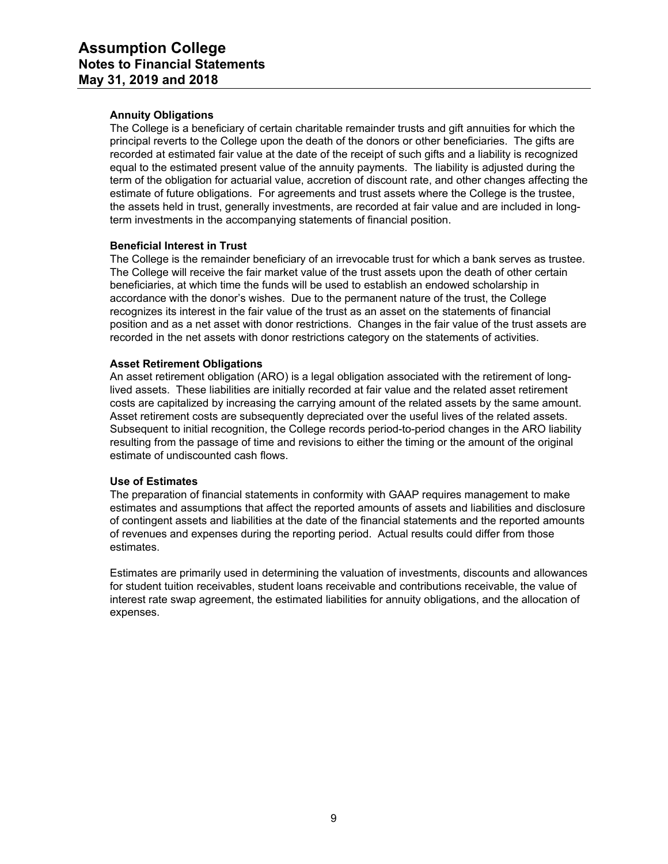## **Annuity Obligations**

The College is a beneficiary of certain charitable remainder trusts and gift annuities for which the principal reverts to the College upon the death of the donors or other beneficiaries. The gifts are recorded at estimated fair value at the date of the receipt of such gifts and a liability is recognized equal to the estimated present value of the annuity payments. The liability is adjusted during the term of the obligation for actuarial value, accretion of discount rate, and other changes affecting the estimate of future obligations. For agreements and trust assets where the College is the trustee, the assets held in trust, generally investments, are recorded at fair value and are included in longterm investments in the accompanying statements of financial position.

## **Beneficial Interest in Trust**

The College is the remainder beneficiary of an irrevocable trust for which a bank serves as trustee. The College will receive the fair market value of the trust assets upon the death of other certain beneficiaries, at which time the funds will be used to establish an endowed scholarship in accordance with the donor's wishes. Due to the permanent nature of the trust, the College recognizes its interest in the fair value of the trust as an asset on the statements of financial position and as a net asset with donor restrictions. Changes in the fair value of the trust assets are recorded in the net assets with donor restrictions category on the statements of activities.

## **Asset Retirement Obligations**

An asset retirement obligation (ARO) is a legal obligation associated with the retirement of longlived assets. These liabilities are initially recorded at fair value and the related asset retirement costs are capitalized by increasing the carrying amount of the related assets by the same amount. Asset retirement costs are subsequently depreciated over the useful lives of the related assets. Subsequent to initial recognition, the College records period-to-period changes in the ARO liability resulting from the passage of time and revisions to either the timing or the amount of the original estimate of undiscounted cash flows.

#### **Use of Estimates**

The preparation of financial statements in conformity with GAAP requires management to make estimates and assumptions that affect the reported amounts of assets and liabilities and disclosure of contingent assets and liabilities at the date of the financial statements and the reported amounts of revenues and expenses during the reporting period. Actual results could differ from those estimates.

Estimates are primarily used in determining the valuation of investments, discounts and allowances for student tuition receivables, student loans receivable and contributions receivable, the value of interest rate swap agreement, the estimated liabilities for annuity obligations, and the allocation of expenses.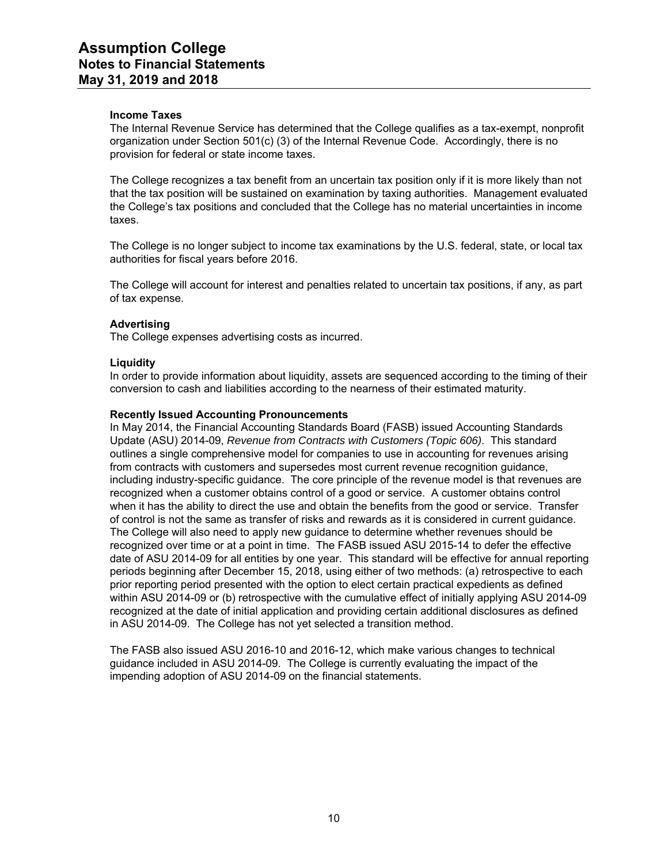## **Income Taxes**

The Internal Revenue Service has determined that the College qualifies as a tax-exempt, nonprofit organization under Section 501(c) (3) of the Internal Revenue Code. Accordingly, there is no provision for federal or state income taxes.

The College recognizes a tax benefit from an uncertain tax position only if it is more likely than not that the tax position will be sustained on examination by taxing authorities. Management evaluated the College's tax positions and concluded that the College has no material uncertainties in income taxes.

The College is no longer subject to income tax examinations by the U.S. federal, state, or local tax authorities for fiscal years before 2016.

The College will account for interest and penalties related to uncertain tax positions, if any, as part of tax expense.

## **Advertising**

The College expenses advertising costs as incurred.

## **Liquidity**

In order to provide information about liquidity, assets are sequenced according to the timing of their conversion to cash and liabilities according to the nearness of their estimated maturity.

#### **Recently Issued Accounting Pronouncements**

In May 2014, the Financial Accounting Standards Board (FASB) issued Accounting Standards Update (ASU) 2014-09, *Revenue from Contracts with Customers (Topic 606)*. This standard outlines a single comprehensive model for companies to use in accounting for revenues arising from contracts with customers and supersedes most current revenue recognition guidance, including industry-specific guidance. The core principle of the revenue model is that revenues are recognized when a customer obtains control of a good or service. A customer obtains control when it has the ability to direct the use and obtain the benefits from the good or service. Transfer of control is not the same as transfer of risks and rewards as it is considered in current guidance. The College will also need to apply new guidance to determine whether revenues should be recognized over time or at a point in time. The FASB issued ASU 2015-14 to defer the effective date of ASU 2014-09 for all entities by one year. This standard will be effective for annual reporting periods beginning after December 15, 2018, using either of two methods: (a) retrospective to each prior reporting period presented with the option to elect certain practical expedients as defined within ASU 2014-09 or (b) retrospective with the cumulative effect of initially applying ASU 2014-09 recognized at the date of initial application and providing certain additional disclosures as defined in ASU 2014-09. The College has not yet selected a transition method.

The FASB also issued ASU 2016-10 and 2016-12, which make various changes to technical guidance included in ASU 2014-09. The College is currently evaluating the impact of the impending adoption of ASU 2014-09 on the financial statements.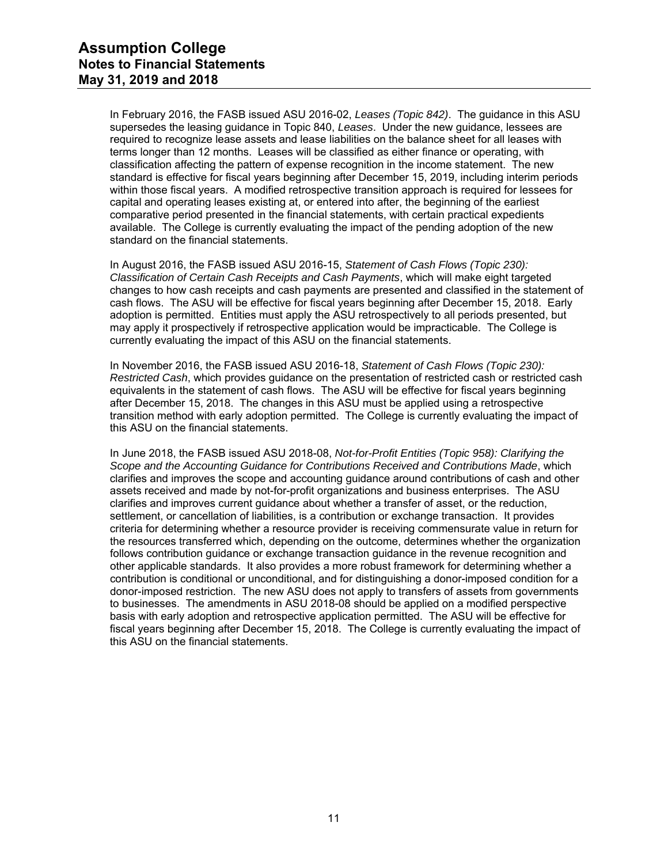In February 2016, the FASB issued ASU 2016-02, *Leases (Topic 842)*. The guidance in this ASU supersedes the leasing guidance in Topic 840, *Leases*. Under the new guidance, lessees are required to recognize lease assets and lease liabilities on the balance sheet for all leases with terms longer than 12 months. Leases will be classified as either finance or operating, with classification affecting the pattern of expense recognition in the income statement. The new standard is effective for fiscal years beginning after December 15, 2019, including interim periods within those fiscal years. A modified retrospective transition approach is required for lessees for capital and operating leases existing at, or entered into after, the beginning of the earliest comparative period presented in the financial statements, with certain practical expedients available. The College is currently evaluating the impact of the pending adoption of the new standard on the financial statements.

In August 2016, the FASB issued ASU 2016-15, *Statement of Cash Flows (Topic 230): Classification of Certain Cash Receipts and Cash Payments*, which will make eight targeted changes to how cash receipts and cash payments are presented and classified in the statement of cash flows. The ASU will be effective for fiscal years beginning after December 15, 2018. Early adoption is permitted. Entities must apply the ASU retrospectively to all periods presented, but may apply it prospectively if retrospective application would be impracticable. The College is currently evaluating the impact of this ASU on the financial statements.

In November 2016, the FASB issued ASU 2016-18, *Statement of Cash Flows (Topic 230): Restricted Cash*, which provides guidance on the presentation of restricted cash or restricted cash equivalents in the statement of cash flows. The ASU will be effective for fiscal years beginning after December 15, 2018. The changes in this ASU must be applied using a retrospective transition method with early adoption permitted. The College is currently evaluating the impact of this ASU on the financial statements.

In June 2018, the FASB issued ASU 2018-08, *Not-for-Profit Entities (Topic 958): Clarifying the Scope and the Accounting Guidance for Contributions Received and Contributions Made*, which clarifies and improves the scope and accounting guidance around contributions of cash and other assets received and made by not-for-profit organizations and business enterprises. The ASU clarifies and improves current guidance about whether a transfer of asset, or the reduction, settlement, or cancellation of liabilities, is a contribution or exchange transaction. It provides criteria for determining whether a resource provider is receiving commensurate value in return for the resources transferred which, depending on the outcome, determines whether the organization follows contribution guidance or exchange transaction guidance in the revenue recognition and other applicable standards. It also provides a more robust framework for determining whether a contribution is conditional or unconditional, and for distinguishing a donor-imposed condition for a donor-imposed restriction. The new ASU does not apply to transfers of assets from governments to businesses. The amendments in ASU 2018-08 should be applied on a modified perspective basis with early adoption and retrospective application permitted. The ASU will be effective for fiscal years beginning after December 15, 2018. The College is currently evaluating the impact of this ASU on the financial statements.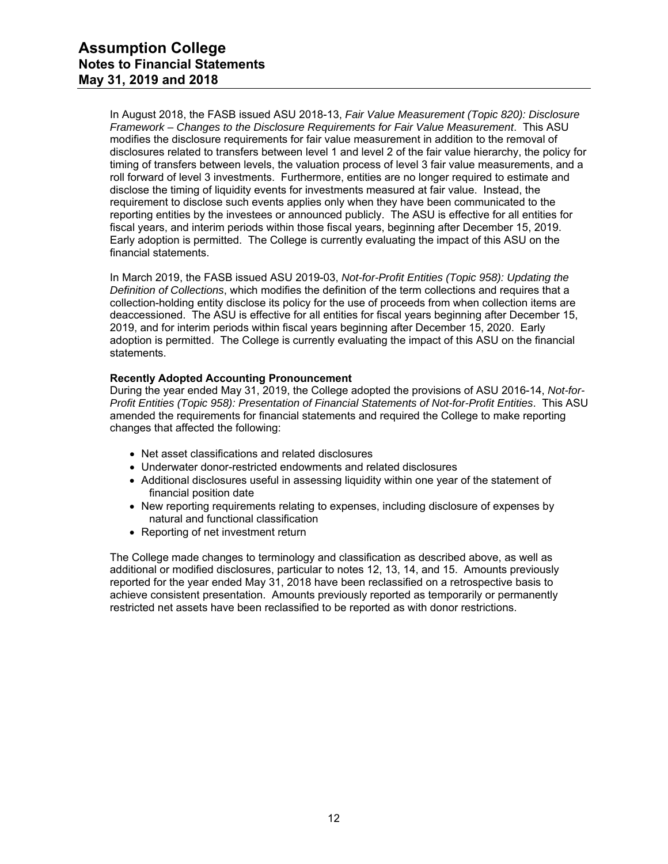In August 2018, the FASB issued ASU 2018-13, *Fair Value Measurement (Topic 820): Disclosure Framework – Changes to the Disclosure Requirements for Fair Value Measurement*. This ASU modifies the disclosure requirements for fair value measurement in addition to the removal of disclosures related to transfers between level 1 and level 2 of the fair value hierarchy, the policy for timing of transfers between levels, the valuation process of level 3 fair value measurements, and a roll forward of level 3 investments. Furthermore, entities are no longer required to estimate and disclose the timing of liquidity events for investments measured at fair value. Instead, the requirement to disclose such events applies only when they have been communicated to the reporting entities by the investees or announced publicly. The ASU is effective for all entities for fiscal years, and interim periods within those fiscal years, beginning after December 15, 2019. Early adoption is permitted. The College is currently evaluating the impact of this ASU on the financial statements.

In March 2019, the FASB issued ASU 2019-03, *Not-for-Profit Entities (Topic 958): Updating the Definition of Collections*, which modifies the definition of the term collections and requires that a collection-holding entity disclose its policy for the use of proceeds from when collection items are deaccessioned. The ASU is effective for all entities for fiscal years beginning after December 15, 2019, and for interim periods within fiscal years beginning after December 15, 2020. Early adoption is permitted. The College is currently evaluating the impact of this ASU on the financial statements.

## **Recently Adopted Accounting Pronouncement**

During the year ended May 31, 2019, the College adopted the provisions of ASU 2016-14, *Not-for-Profit Entities (Topic 958): Presentation of Financial Statements of Not-for-Profit Entities*. This ASU amended the requirements for financial statements and required the College to make reporting changes that affected the following:

- Net asset classifications and related disclosures
- Underwater donor-restricted endowments and related disclosures
- Additional disclosures useful in assessing liquidity within one year of the statement of financial position date
- New reporting requirements relating to expenses, including disclosure of expenses by natural and functional classification
- Reporting of net investment return

The College made changes to terminology and classification as described above, as well as additional or modified disclosures, particular to notes 12, 13, 14, and 15. Amounts previously reported for the year ended May 31, 2018 have been reclassified on a retrospective basis to achieve consistent presentation. Amounts previously reported as temporarily or permanently restricted net assets have been reclassified to be reported as with donor restrictions.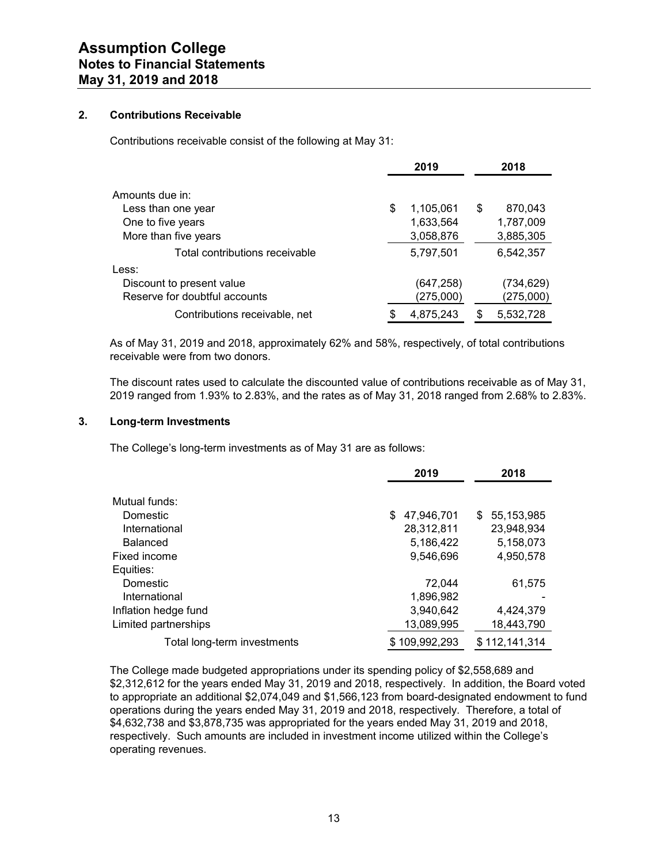## **2. Contributions Receivable**

Contributions receivable consist of the following at May 31:

|                                | 2019            | 2018          |
|--------------------------------|-----------------|---------------|
| Amounts due in:                |                 |               |
| Less than one year             | \$<br>1,105,061 | \$<br>870,043 |
| One to five years              | 1,633,564       | 1,787,009     |
| More than five years           | 3,058,876       | 3,885,305     |
| Total contributions receivable | 5,797,501       | 6,542,357     |
| Less:                          |                 |               |
| Discount to present value      | (647,258)       | (734, 629)    |
| Reserve for doubtful accounts  | (275,000)       | (275,000)     |
| Contributions receivable, net  | 4,875,243       | 5,532,728     |

As of May 31, 2019 and 2018, approximately 62% and 58%, respectively, of total contributions receivable were from two donors.

The discount rates used to calculate the discounted value of contributions receivable as of May 31, 2019 ranged from 1.93% to 2.83%, and the rates as of May 31, 2018 ranged from 2.68% to 2.83%.

#### **3. Long-term Investments**

The College's long-term investments as of May 31 are as follows:

|                             | 2019             | 2018              |
|-----------------------------|------------------|-------------------|
| Mutual funds:               |                  |                   |
| Domestic                    | 47.946.701<br>\$ | 55,153,985<br>\$. |
| International               | 28,312,811       | 23,948,934        |
| <b>Balanced</b>             | 5,186,422        | 5,158,073         |
| Fixed income                | 9.546.696        | 4,950,578         |
| Equities:                   |                  |                   |
| Domestic                    | 72.044           | 61,575            |
| International               | 1,896,982        |                   |
| Inflation hedge fund        | 3,940,642        | 4,424,379         |
| Limited partnerships        | 13,089,995       | 18,443,790        |
| Total long-term investments | \$109,992,293    | \$112,141,314     |

The College made budgeted appropriations under its spending policy of \$2,558,689 and \$2,312,612 for the years ended May 31, 2019 and 2018, respectively. In addition, the Board voted to appropriate an additional \$2,074,049 and \$1,566,123 from board-designated endowment to fund operations during the years ended May 31, 2019 and 2018, respectively. Therefore, a total of \$4,632,738 and \$3,878,735 was appropriated for the years ended May 31, 2019 and 2018, respectively. Such amounts are included in investment income utilized within the College's operating revenues.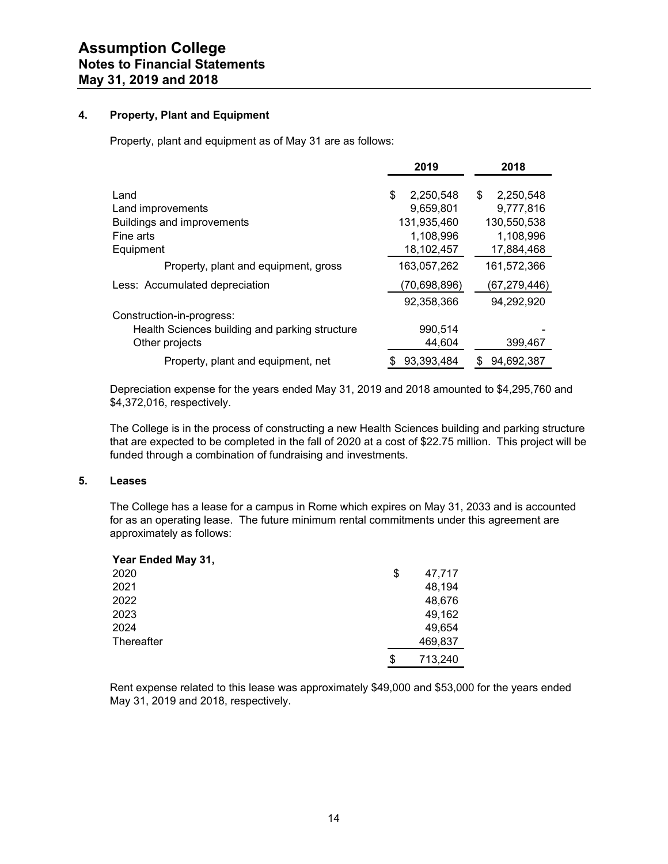## **4. Property, Plant and Equipment**

Property, plant and equipment as of May 31 are as follows:

|                                                | 2019            | 2018            |
|------------------------------------------------|-----------------|-----------------|
| Land                                           | \$<br>2,250,548 | \$<br>2,250,548 |
| Land improvements                              | 9.659.801       | 9,777,816       |
| <b>Buildings and improvements</b>              | 131,935,460     | 130,550,538     |
| Fine arts                                      | 1,108,996       | 1,108,996       |
| Equipment                                      | 18,102,457      | 17,884,468      |
| Property, plant and equipment, gross           | 163,057,262     | 161,572,366     |
| Less: Accumulated depreciation                 | (70,698,896)    | (67,279,446)    |
|                                                | 92,358,366      | 94,292,920      |
| Construction-in-progress:                      |                 |                 |
| Health Sciences building and parking structure | 990,514         |                 |
| Other projects                                 | 44,604          | 399,467         |
| Property, plant and equipment, net             | 93.393.484      | 94.692.387<br>S |

Depreciation expense for the years ended May 31, 2019 and 2018 amounted to \$4,295,760 and \$4,372,016, respectively.

The College is in the process of constructing a new Health Sciences building and parking structure that are expected to be completed in the fall of 2020 at a cost of \$22.75 million. This project will be funded through a combination of fundraising and investments.

## **5. Leases**

The College has a lease for a campus in Rome which expires on May 31, 2033 and is accounted for as an operating lease. The future minimum rental commitments under this agreement are approximately as follows:

| Year Ended May 31, |               |
|--------------------|---------------|
| 2020               | \$<br>47,717  |
| 2021               | 48,194        |
| 2022               | 48,676        |
| 2023               | 49,162        |
| 2024               | 49,654        |
| Thereafter         | 469,837       |
|                    | \$<br>713,240 |

Rent expense related to this lease was approximately \$49,000 and \$53,000 for the years ended May 31, 2019 and 2018, respectively.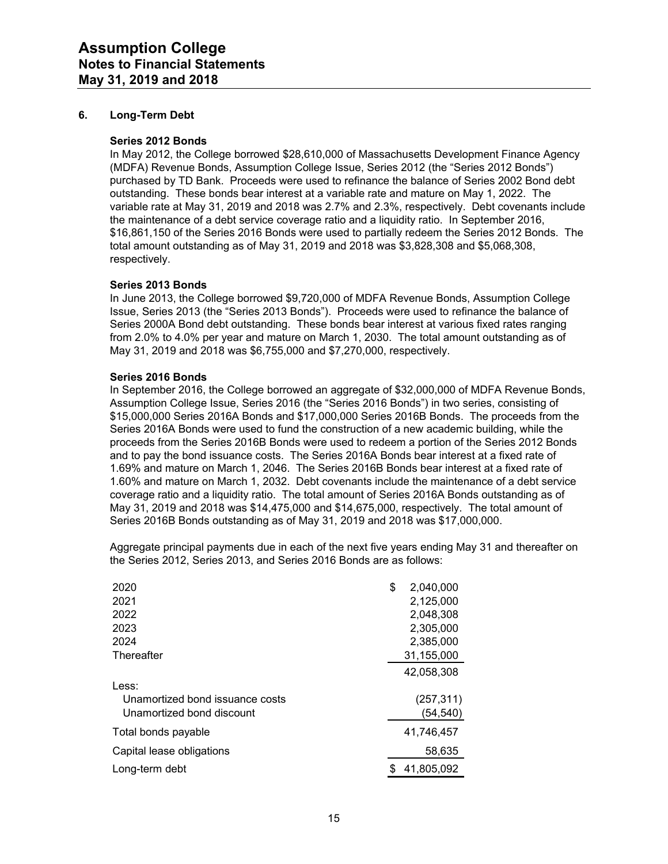## **6. Long-Term Debt**

#### **Series 2012 Bonds**

In May 2012, the College borrowed \$28,610,000 of Massachusetts Development Finance Agency (MDFA) Revenue Bonds, Assumption College Issue, Series 2012 (the "Series 2012 Bonds") purchased by TD Bank. Proceeds were used to refinance the balance of Series 2002 Bond debt outstanding. These bonds bear interest at a variable rate and mature on May 1, 2022. The variable rate at May 31, 2019 and 2018 was 2.7% and 2.3%, respectively. Debt covenants include the maintenance of a debt service coverage ratio and a liquidity ratio. In September 2016, \$16,861,150 of the Series 2016 Bonds were used to partially redeem the Series 2012 Bonds. The total amount outstanding as of May 31, 2019 and 2018 was \$3,828,308 and \$5,068,308, respectively.

#### **Series 2013 Bonds**

In June 2013, the College borrowed \$9,720,000 of MDFA Revenue Bonds, Assumption College Issue, Series 2013 (the "Series 2013 Bonds"). Proceeds were used to refinance the balance of Series 2000A Bond debt outstanding. These bonds bear interest at various fixed rates ranging from 2.0% to 4.0% per year and mature on March 1, 2030. The total amount outstanding as of May 31, 2019 and 2018 was \$6,755,000 and \$7,270,000, respectively.

#### **Series 2016 Bonds**

In September 2016, the College borrowed an aggregate of \$32,000,000 of MDFA Revenue Bonds, Assumption College Issue, Series 2016 (the "Series 2016 Bonds") in two series, consisting of \$15,000,000 Series 2016A Bonds and \$17,000,000 Series 2016B Bonds. The proceeds from the Series 2016A Bonds were used to fund the construction of a new academic building, while the proceeds from the Series 2016B Bonds were used to redeem a portion of the Series 2012 Bonds and to pay the bond issuance costs. The Series 2016A Bonds bear interest at a fixed rate of 1.69% and mature on March 1, 2046. The Series 2016B Bonds bear interest at a fixed rate of 1.60% and mature on March 1, 2032. Debt covenants include the maintenance of a debt service coverage ratio and a liquidity ratio. The total amount of Series 2016A Bonds outstanding as of May 31, 2019 and 2018 was \$14,475,000 and \$14,675,000, respectively. The total amount of Series 2016B Bonds outstanding as of May 31, 2019 and 2018 was \$17,000,000.

Aggregate principal payments due in each of the next five years ending May 31 and thereafter on the Series 2012, Series 2013, and Series 2016 Bonds are as follows:

| 2020                            | \$<br>2.040.000 |
|---------------------------------|-----------------|
| 2021                            | 2,125,000       |
| 2022                            | 2,048,308       |
| 2023                            | 2,305,000       |
| 2024                            | 2,385,000       |
| Thereafter                      | 31,155,000      |
|                                 | 42,058,308      |
| Less:                           |                 |
| Unamortized bond issuance costs | (257, 311)      |
| Unamortized bond discount       | (54, 540)       |
| Total bonds payable             | 41,746,457      |
| Capital lease obligations       | 58,635          |
| Long-term debt                  | 41,805,092      |
|                                 |                 |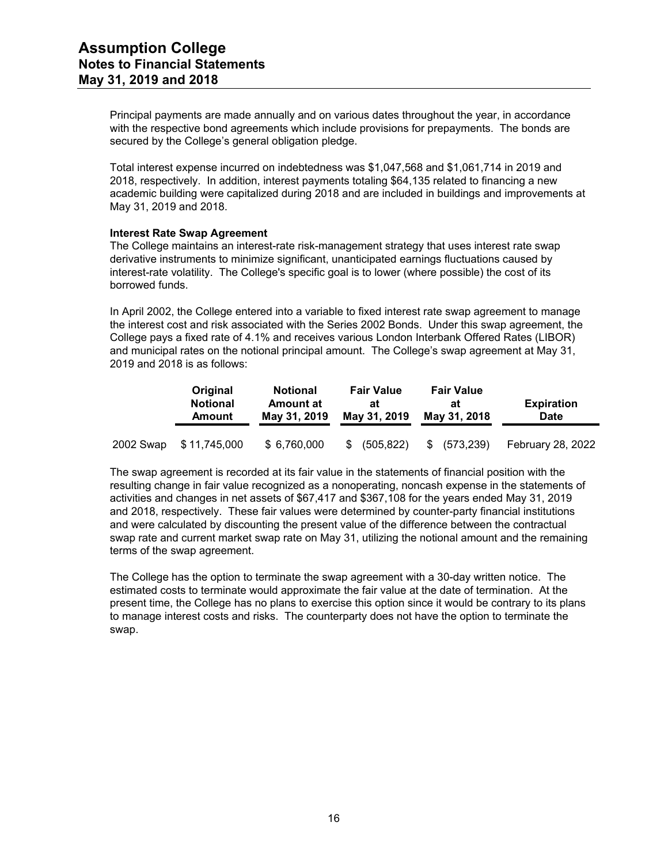Principal payments are made annually and on various dates throughout the year, in accordance with the respective bond agreements which include provisions for prepayments. The bonds are secured by the College's general obligation pledge.

Total interest expense incurred on indebtedness was \$1,047,568 and \$1,061,714 in 2019 and 2018, respectively. In addition, interest payments totaling \$64,135 related to financing a new academic building were capitalized during 2018 and are included in buildings and improvements at May 31, 2019 and 2018.

## **Interest Rate Swap Agreement**

The College maintains an interest-rate risk-management strategy that uses interest rate swap derivative instruments to minimize significant, unanticipated earnings fluctuations caused by interest-rate volatility. The College's specific goal is to lower (where possible) the cost of its borrowed funds.

In April 2002, the College entered into a variable to fixed interest rate swap agreement to manage the interest cost and risk associated with the Series 2002 Bonds. Under this swap agreement, the College pays a fixed rate of 4.1% and receives various London Interbank Offered Rates (LIBOR) and municipal rates on the notional principal amount. The College's swap agreement at May 31, 2019 and 2018 is as follows:

|           | Original<br><b>Notional</b><br><b>Amount</b> | <b>Notional</b><br><b>Amount at</b><br>May 31, 2019 | <b>Fair Value</b><br>at<br>May 31, 2019 | <b>Fair Value</b><br>at<br>May 31, 2018 | <b>Expiration</b><br><b>Date</b> |
|-----------|----------------------------------------------|-----------------------------------------------------|-----------------------------------------|-----------------------------------------|----------------------------------|
| 2002 Swap | \$ 11,745,000                                | \$6,760,000                                         | \$<br>(505, 822)                        | (573, 239)<br>\$                        | February 28, 2022                |

The swap agreement is recorded at its fair value in the statements of financial position with the resulting change in fair value recognized as a nonoperating, noncash expense in the statements of activities and changes in net assets of \$67,417 and \$367,108 for the years ended May 31, 2019 and 2018, respectively. These fair values were determined by counter-party financial institutions and were calculated by discounting the present value of the difference between the contractual swap rate and current market swap rate on May 31, utilizing the notional amount and the remaining terms of the swap agreement.

The College has the option to terminate the swap agreement with a 30-day written notice. The estimated costs to terminate would approximate the fair value at the date of termination. At the present time, the College has no plans to exercise this option since it would be contrary to its plans to manage interest costs and risks. The counterparty does not have the option to terminate the swap.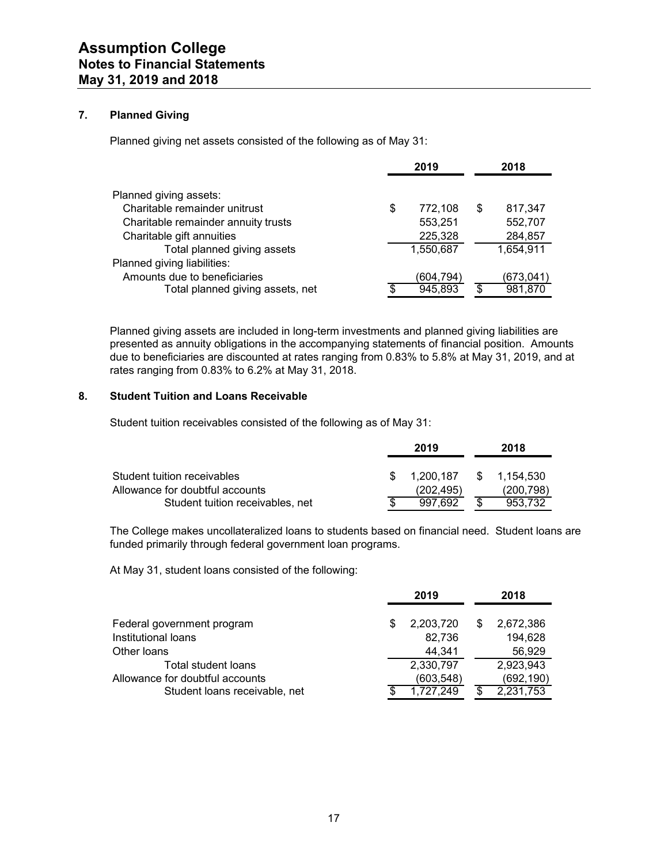## **7. Planned Giving**

Planned giving net assets consisted of the following as of May 31:

|                                     | 2019          |    | 2018      |
|-------------------------------------|---------------|----|-----------|
| Planned giving assets:              |               |    |           |
| Charitable remainder unitrust       | \$<br>772,108 | S  | 817,347   |
| Charitable remainder annuity trusts | 553,251       |    | 552,707   |
| Charitable gift annuities           | 225,328       |    | 284,857   |
| Total planned giving assets         | 1,550,687     |    | 1,654,911 |
| Planned giving liabilities:         |               |    |           |
| Amounts due to beneficiaries        | (604,794)     |    | (673,041  |
| Total planned giving assets, net    | 945,893       | \$ | 981,870   |
|                                     |               |    |           |

Planned giving assets are included in long-term investments and planned giving liabilities are presented as annuity obligations in the accompanying statements of financial position. Amounts due to beneficiaries are discounted at rates ranging from 0.83% to 5.8% at May 31, 2019, and at rates ranging from 0.83% to 6.2% at May 31, 2018.

## **8. Student Tuition and Loans Receivable**

Student tuition receivables consisted of the following as of May 31:

|                                  | 2019      |      | 2018       |
|----------------------------------|-----------|------|------------|
| Student tuition receivables      | 1.200.187 | - SS | 1.154.530  |
| Allowance for doubtful accounts  | (202.495) |      | (200, 798) |
| Student tuition receivables, net | 997.692   |      | 953.732    |

The College makes uncollateralized loans to students based on financial need. Student loans are funded primarily through federal government loan programs.

At May 31, student loans consisted of the following:

|                                                                                         |   | 2019                                |    | 2018                                 |
|-----------------------------------------------------------------------------------------|---|-------------------------------------|----|--------------------------------------|
| Federal government program<br>Institutional loans<br>Other loans                        | S | 2,203,720<br>82,736<br>44.341       | \$ | 2,672,386<br>194,628<br>56,929       |
| Total student loans<br>Allowance for doubtful accounts<br>Student loans receivable, net |   | 2,330,797<br>(603,548)<br>1,727,249 | S  | 2,923,943<br>(692, 190)<br>2,231,753 |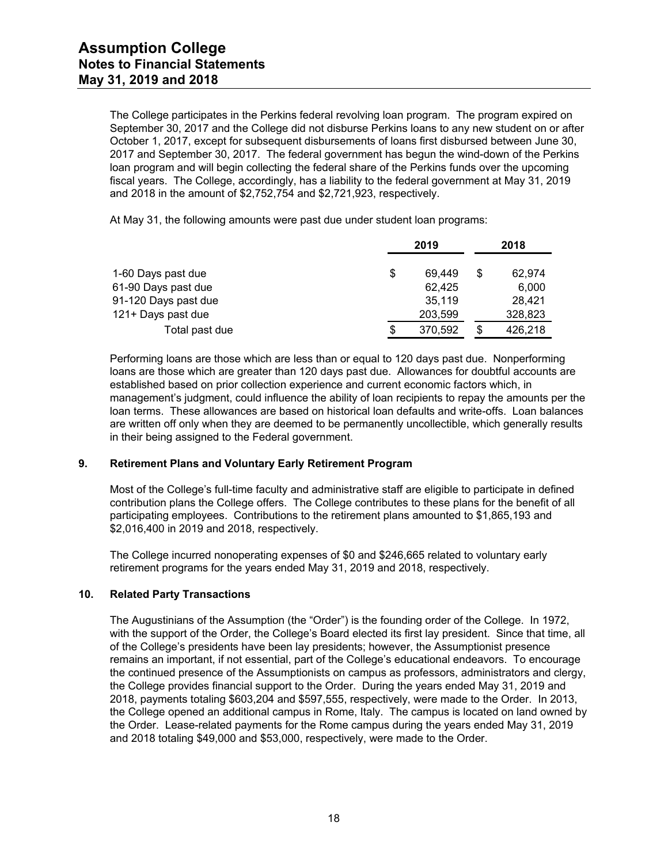The College participates in the Perkins federal revolving loan program. The program expired on September 30, 2017 and the College did not disburse Perkins loans to any new student on or after October 1, 2017, except for subsequent disbursements of loans first disbursed between June 30, 2017 and September 30, 2017. The federal government has begun the wind-down of the Perkins loan program and will begin collecting the federal share of the Perkins funds over the upcoming fiscal years. The College, accordingly, has a liability to the federal government at May 31, 2019 and 2018 in the amount of \$2,752,754 and \$2,721,923, respectively.

At May 31, the following amounts were past due under student loan programs:

|                      |    | 2019    | 2018          |
|----------------------|----|---------|---------------|
| 1-60 Days past due   | \$ | 69.449  | \$<br>62,974  |
| 61-90 Days past due  |    | 62.425  | 6,000         |
| 91-120 Days past due |    | 35.119  | 28.421        |
| 121+ Days past due   |    | 203,599 | 328,823       |
| Total past due       | S  | 370,592 | \$<br>426,218 |

Performing loans are those which are less than or equal to 120 days past due. Nonperforming loans are those which are greater than 120 days past due. Allowances for doubtful accounts are established based on prior collection experience and current economic factors which, in management's judgment, could influence the ability of loan recipients to repay the amounts per the loan terms. These allowances are based on historical loan defaults and write-offs. Loan balances are written off only when they are deemed to be permanently uncollectible, which generally results in their being assigned to the Federal government.

## **9. Retirement Plans and Voluntary Early Retirement Program**

Most of the College's full-time faculty and administrative staff are eligible to participate in defined contribution plans the College offers. The College contributes to these plans for the benefit of all participating employees. Contributions to the retirement plans amounted to \$1,865,193 and \$2,016,400 in 2019 and 2018, respectively.

The College incurred nonoperating expenses of \$0 and \$246,665 related to voluntary early retirement programs for the years ended May 31, 2019 and 2018, respectively.

## **10. Related Party Transactions**

The Augustinians of the Assumption (the "Order") is the founding order of the College. In 1972, with the support of the Order, the College's Board elected its first lay president. Since that time, all of the College's presidents have been lay presidents; however, the Assumptionist presence remains an important, if not essential, part of the College's educational endeavors. To encourage the continued presence of the Assumptionists on campus as professors, administrators and clergy, the College provides financial support to the Order. During the years ended May 31, 2019 and 2018, payments totaling \$603,204 and \$597,555, respectively, were made to the Order. In 2013, the College opened an additional campus in Rome, Italy. The campus is located on land owned by the Order. Lease-related payments for the Rome campus during the years ended May 31, 2019 and 2018 totaling \$49,000 and \$53,000, respectively, were made to the Order.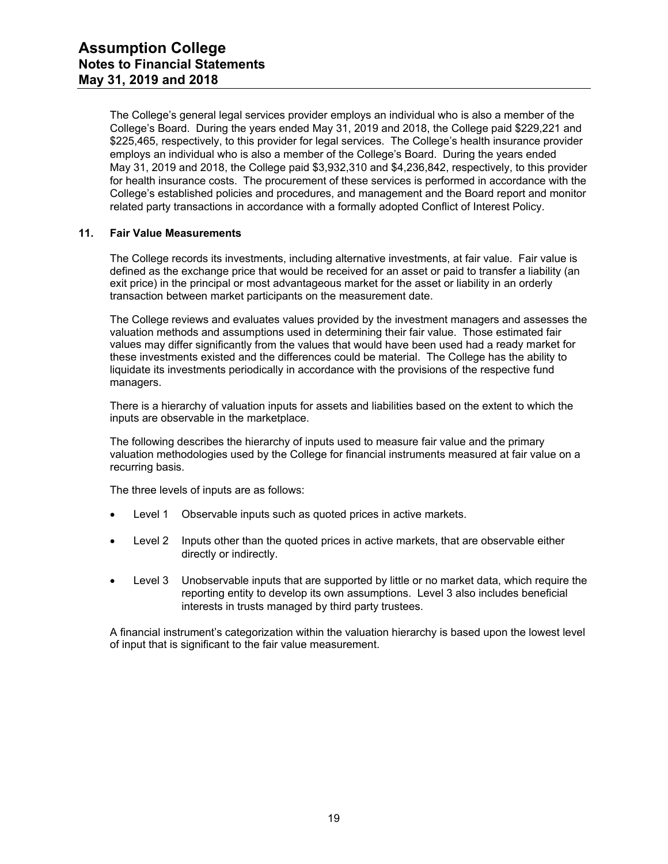The College's general legal services provider employs an individual who is also a member of the College's Board. During the years ended May 31, 2019 and 2018, the College paid \$229,221 and \$225,465, respectively, to this provider for legal services. The College's health insurance provider employs an individual who is also a member of the College's Board. During the years ended May 31, 2019 and 2018, the College paid \$3,932,310 and \$4,236,842, respectively, to this provider for health insurance costs. The procurement of these services is performed in accordance with the College's established policies and procedures, and management and the Board report and monitor related party transactions in accordance with a formally adopted Conflict of Interest Policy.

## **11. Fair Value Measurements**

The College records its investments, including alternative investments, at fair value. Fair value is defined as the exchange price that would be received for an asset or paid to transfer a liability (an exit price) in the principal or most advantageous market for the asset or liability in an orderly transaction between market participants on the measurement date.

The College reviews and evaluates values provided by the investment managers and assesses the valuation methods and assumptions used in determining their fair value. Those estimated fair values may differ significantly from the values that would have been used had a ready market for these investments existed and the differences could be material. The College has the ability to liquidate its investments periodically in accordance with the provisions of the respective fund managers.

There is a hierarchy of valuation inputs for assets and liabilities based on the extent to which the inputs are observable in the marketplace.

The following describes the hierarchy of inputs used to measure fair value and the primary valuation methodologies used by the College for financial instruments measured at fair value on a recurring basis.

The three levels of inputs are as follows:

- Level 1 Observable inputs such as quoted prices in active markets.
- Level 2 Inputs other than the quoted prices in active markets, that are observable either directly or indirectly.
- Level 3 Unobservable inputs that are supported by little or no market data, which require the reporting entity to develop its own assumptions. Level 3 also includes beneficial interests in trusts managed by third party trustees.

A financial instrument's categorization within the valuation hierarchy is based upon the lowest level of input that is significant to the fair value measurement.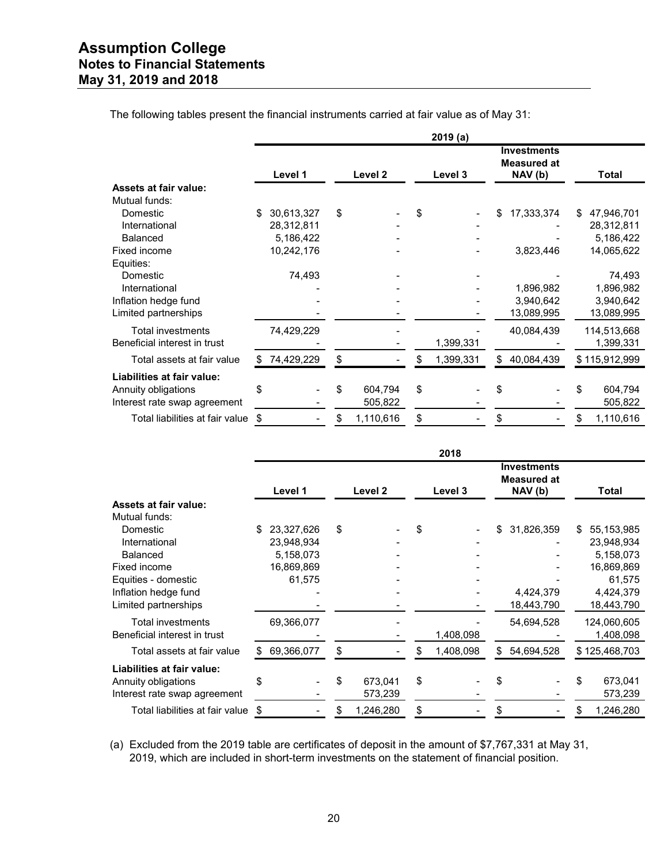|                                 | 2019(a) |            |    |           |    |           |    |                                             |    |               |
|---------------------------------|---------|------------|----|-----------|----|-----------|----|---------------------------------------------|----|---------------|
|                                 |         | Level 1    |    | Level 2   |    | Level 3   |    | <b>Investments</b><br>Measured at<br>NAV(b) |    | <b>Total</b>  |
| <b>Assets at fair value:</b>    |         |            |    |           |    |           |    |                                             |    |               |
| Mutual funds:                   |         |            |    |           |    |           |    |                                             |    |               |
| Domestic                        | \$      | 30,613,327 | \$ |           | \$ |           | \$ | 17,333,374                                  | S. | 47,946,701    |
| International                   |         | 28,312,811 |    |           |    |           |    |                                             |    | 28,312,811    |
| Balanced                        |         | 5,186,422  |    |           |    |           |    |                                             |    | 5,186,422     |
| Fixed income                    |         | 10,242,176 |    |           |    |           |    | 3,823,446                                   |    | 14,065,622    |
| Equities:                       |         |            |    |           |    |           |    |                                             |    |               |
| Domestic                        |         | 74,493     |    |           |    |           |    |                                             |    | 74,493        |
| International                   |         |            |    |           |    |           |    | 1,896,982                                   |    | 1,896,982     |
| Inflation hedge fund            |         |            |    |           |    |           |    | 3,940,642                                   |    | 3,940,642     |
| Limited partnerships            |         |            |    |           |    |           |    | 13,089,995                                  |    | 13,089,995    |
| <b>Total investments</b>        |         | 74,429,229 |    |           |    |           |    | 40,084,439                                  |    | 114,513,668   |
| Beneficial interest in trust    |         |            |    |           |    | 1,399,331 |    |                                             |    | 1,399,331     |
| Total assets at fair value      | S       | 74,429,229 | \$ |           | S  | 1,399,331 | S  | 40,084,439                                  |    | \$115,912,999 |
| Liabilities at fair value:      |         |            |    |           |    |           |    |                                             |    |               |
| Annuity obligations             | \$      |            | \$ | 604,794   | \$ |           |    |                                             |    | 604,794       |
| Interest rate swap agreement    |         |            |    | 505,822   |    |           |    |                                             |    | 505,822       |
| Total liabilities at fair value | \$      |            | \$ | 1,110,616 | \$ |           | \$ |                                             | \$ | 1,110,616     |

The following tables present the financial instruments carried at fair value as of May 31:

|                                 | 2018 |            |    |           |    |           |    |                                                     |    |               |
|---------------------------------|------|------------|----|-----------|----|-----------|----|-----------------------------------------------------|----|---------------|
|                                 |      | Level 1    |    | Level 2   |    | Level 3   |    | <b>Investments</b><br><b>Measured at</b><br>NAV (b) |    | Total         |
| Assets at fair value:           |      |            |    |           |    |           |    |                                                     |    |               |
| Mutual funds:                   |      |            |    |           |    |           |    |                                                     |    |               |
| Domestic                        | \$.  | 23,327,626 | \$ |           | \$ |           | \$ | 31,826,359                                          | £. | 55,153,985    |
| International                   |      | 23,948,934 |    |           |    |           |    |                                                     |    | 23,948,934    |
| <b>Balanced</b>                 |      | 5,158,073  |    |           |    |           |    |                                                     |    | 5,158,073     |
| Fixed income                    |      | 16,869,869 |    |           |    |           |    |                                                     |    | 16,869,869    |
| Equities - domestic             |      | 61,575     |    |           |    |           |    |                                                     |    | 61,575        |
| Inflation hedge fund            |      |            |    |           |    |           |    | 4,424,379                                           |    | 4,424,379     |
| Limited partnerships            |      |            |    |           |    |           |    | 18,443,790                                          |    | 18,443,790    |
| <b>Total investments</b>        |      | 69,366,077 |    |           |    |           |    | 54,694,528                                          |    | 124,060,605   |
| Beneficial interest in trust    |      |            |    |           |    | 1,408,098 |    |                                                     |    | 1,408,098     |
| Total assets at fair value      |      | 69,366,077 | \$ |           | \$ | 1,408,098 | \$ | 54,694,528                                          |    | \$125,468,703 |
| Liabilities at fair value:      |      |            |    |           |    |           |    |                                                     |    |               |
| Annuity obligations             | \$   |            | \$ | 673,041   | \$ |           | \$ |                                                     | \$ | 673,041       |
| Interest rate swap agreement    |      |            |    | 573,239   |    |           |    |                                                     |    | 573,239       |
| Total liabilities at fair value | \$   |            | \$ | 1,246,280 | \$ |           | \$ |                                                     |    | 1,246,280     |

(a) Excluded from the 2019 table are certificates of deposit in the amount of \$7,767,331 at May 31, 2019, which are included in short-term investments on the statement of financial position.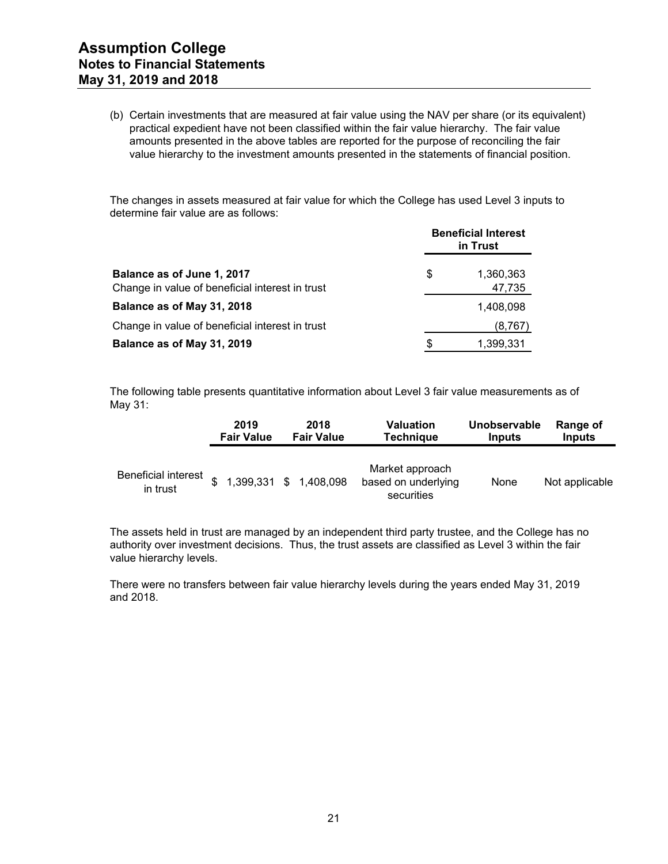(b) Certain investments that are measured at fair value using the NAV per share (or its equivalent) practical expedient have not been classified within the fair value hierarchy. The fair value amounts presented in the above tables are reported for the purpose of reconciling the fair value hierarchy to the investment amounts presented in the statements of financial position.

The changes in assets measured at fair value for which the College has used Level 3 inputs to determine fair value are as follows:

|                                                                               | <b>Beneficial Interest</b><br>in Trust |                     |  |  |
|-------------------------------------------------------------------------------|----------------------------------------|---------------------|--|--|
| Balance as of June 1, 2017<br>Change in value of beneficial interest in trust | \$                                     | 1,360,363<br>47,735 |  |  |
| Balance as of May 31, 2018                                                    |                                        | 1,408,098           |  |  |
| Change in value of beneficial interest in trust                               |                                        | (8, 767)            |  |  |
| Balance as of May 31, 2019                                                    | S                                      | 1,399,331           |  |  |

The following table presents quantitative information about Level 3 fair value measurements as of May 31:

|                                        | 2019              | 2018                   | <b>Valuation</b>                                     | Unobservable  | Range of       |
|----------------------------------------|-------------------|------------------------|------------------------------------------------------|---------------|----------------|
|                                        | <b>Fair Value</b> | <b>Fair Value</b>      | <b>Technique</b>                                     | <b>Inputs</b> | <b>Inputs</b>  |
| <b>Beneficial interest</b><br>in trust |                   | 1,399,331 \$ 1,408,098 | Market approach<br>based on underlying<br>securities | None          | Not applicable |

The assets held in trust are managed by an independent third party trustee, and the College has no authority over investment decisions. Thus, the trust assets are classified as Level 3 within the fair value hierarchy levels.

There were no transfers between fair value hierarchy levels during the years ended May 31, 2019 and 2018.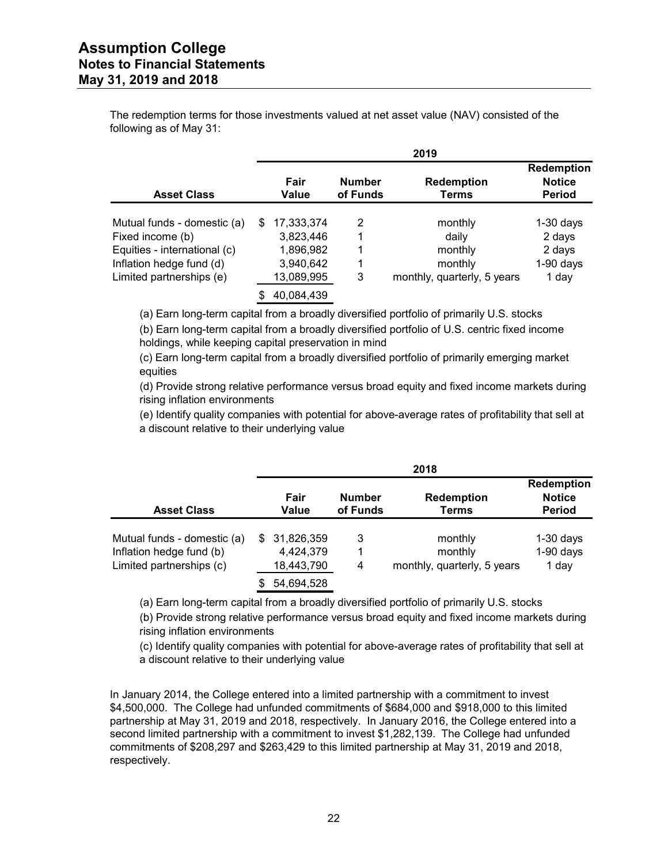# **Assumption College Notes to Financial Statements May 31, 2019 and 2018**

The redemption terms for those investments valued at net asset value (NAV) consisted of the following as of May 31:

|                              | 2019 |               |                           |                             |                                                     |  |  |  |
|------------------------------|------|---------------|---------------------------|-----------------------------|-----------------------------------------------------|--|--|--|
| <b>Asset Class</b>           |      | Fair<br>Value | <b>Number</b><br>of Funds | <b>Redemption</b><br>Terms  | <b>Redemption</b><br><b>Notice</b><br><b>Period</b> |  |  |  |
| Mutual funds - domestic (a)  | \$.  | 17,333,374    | 2                         | monthly                     | $1-30$ days                                         |  |  |  |
| Fixed income (b)             |      | 3,823,446     | 1                         | dailv                       | 2 days                                              |  |  |  |
| Equities - international (c) |      | 1,896,982     | 1                         | monthly                     | 2 days                                              |  |  |  |
| Inflation hedge fund (d)     |      | 3,940,642     | 1                         | monthly                     | $1-90$ days                                         |  |  |  |
| Limited partnerships (e)     |      | 13,089,995    | 3                         | monthly, quarterly, 5 years | 1 day                                               |  |  |  |
|                              |      | 40,084,439    |                           |                             |                                                     |  |  |  |

(a) Earn long-term capital from a broadly diversified portfolio of primarily U.S. stocks

(b) Earn long-term capital from a broadly diversified portfolio of U.S. centric fixed income holdings, while keeping capital preservation in mind

(c) Earn long-term capital from a broadly diversified portfolio of primarily emerging market equities

(d) Provide strong relative performance versus broad equity and fixed income markets during rising inflation environments

(e) Identify quality companies with potential for above-average rates of profitability that sell at a discount relative to their underlying value

|                             | 2018 |               |                           |                             |                                                     |  |  |  |
|-----------------------------|------|---------------|---------------------------|-----------------------------|-----------------------------------------------------|--|--|--|
| <b>Asset Class</b>          |      | Fair<br>Value | <b>Number</b><br>of Funds | <b>Redemption</b><br>Terms  | <b>Redemption</b><br><b>Notice</b><br><b>Period</b> |  |  |  |
| Mutual funds - domestic (a) | \$.  | 31,826,359    | 3                         | monthly                     | $1-30$ days                                         |  |  |  |
| Inflation hedge fund (b)    |      | 4,424,379     | 1                         | monthly                     | $1-90$ days                                         |  |  |  |
| Limited partnerships (c)    |      | 18,443,790    | 4                         | monthly, quarterly, 5 years | 1 day                                               |  |  |  |
|                             | S    | 54,694,528    |                           |                             |                                                     |  |  |  |

(a) Earn long-term capital from a broadly diversified portfolio of primarily U.S. stocks

(b) Provide strong relative performance versus broad equity and fixed income markets during rising inflation environments

(c) Identify quality companies with potential for above-average rates of profitability that sell at a discount relative to their underlying value

In January 2014, the College entered into a limited partnership with a commitment to invest \$4,500,000. The College had unfunded commitments of \$684,000 and \$918,000 to this limited partnership at May 31, 2019 and 2018, respectively. In January 2016, the College entered into a second limited partnership with a commitment to invest \$1,282,139. The College had unfunded commitments of \$208,297 and \$263,429 to this limited partnership at May 31, 2019 and 2018, respectively.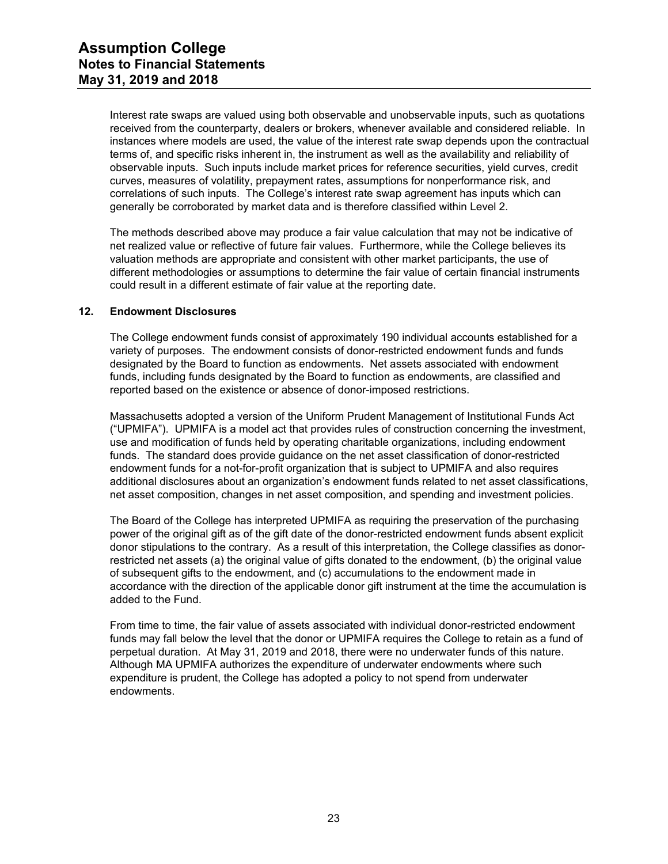Interest rate swaps are valued using both observable and unobservable inputs, such as quotations received from the counterparty, dealers or brokers, whenever available and considered reliable. In instances where models are used, the value of the interest rate swap depends upon the contractual terms of, and specific risks inherent in, the instrument as well as the availability and reliability of observable inputs. Such inputs include market prices for reference securities, yield curves, credit curves, measures of volatility, prepayment rates, assumptions for nonperformance risk, and correlations of such inputs. The College's interest rate swap agreement has inputs which can generally be corroborated by market data and is therefore classified within Level 2.

The methods described above may produce a fair value calculation that may not be indicative of net realized value or reflective of future fair values. Furthermore, while the College believes its valuation methods are appropriate and consistent with other market participants, the use of different methodologies or assumptions to determine the fair value of certain financial instruments could result in a different estimate of fair value at the reporting date.

#### **12. Endowment Disclosures**

The College endowment funds consist of approximately 190 individual accounts established for a variety of purposes. The endowment consists of donor-restricted endowment funds and funds designated by the Board to function as endowments. Net assets associated with endowment funds, including funds designated by the Board to function as endowments, are classified and reported based on the existence or absence of donor-imposed restrictions.

Massachusetts adopted a version of the Uniform Prudent Management of Institutional Funds Act ("UPMIFA"). UPMIFA is a model act that provides rules of construction concerning the investment, use and modification of funds held by operating charitable organizations, including endowment funds. The standard does provide guidance on the net asset classification of donor-restricted endowment funds for a not-for-profit organization that is subject to UPMIFA and also requires additional disclosures about an organization's endowment funds related to net asset classifications, net asset composition, changes in net asset composition, and spending and investment policies.

The Board of the College has interpreted UPMIFA as requiring the preservation of the purchasing power of the original gift as of the gift date of the donor-restricted endowment funds absent explicit donor stipulations to the contrary. As a result of this interpretation, the College classifies as donorrestricted net assets (a) the original value of gifts donated to the endowment, (b) the original value of subsequent gifts to the endowment, and (c) accumulations to the endowment made in accordance with the direction of the applicable donor gift instrument at the time the accumulation is added to the Fund.

From time to time, the fair value of assets associated with individual donor-restricted endowment funds may fall below the level that the donor or UPMIFA requires the College to retain as a fund of perpetual duration. At May 31, 2019 and 2018, there were no underwater funds of this nature. Although MA UPMIFA authorizes the expenditure of underwater endowments where such expenditure is prudent, the College has adopted a policy to not spend from underwater endowments.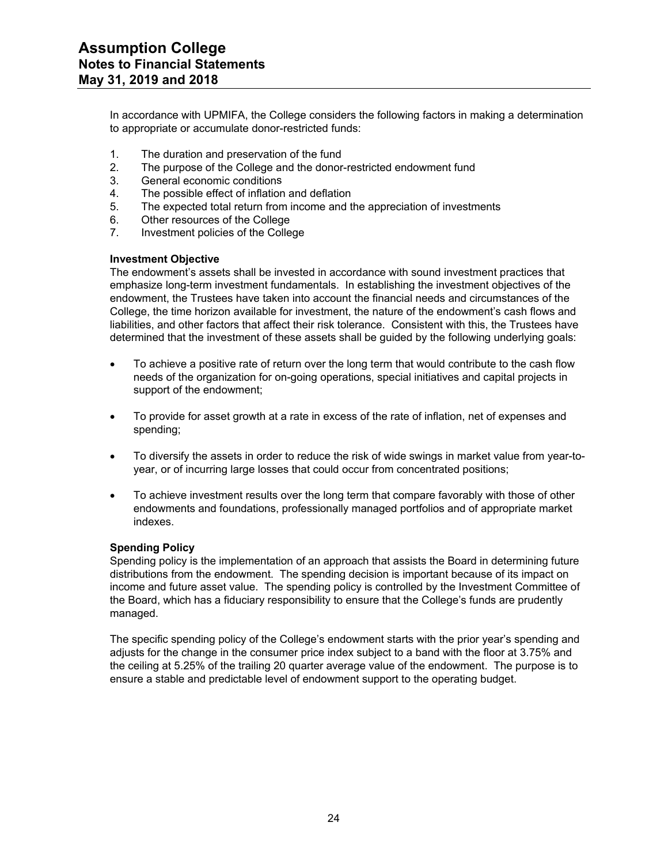In accordance with UPMIFA, the College considers the following factors in making a determination to appropriate or accumulate donor-restricted funds:

- 1. The duration and preservation of the fund
- 2. The purpose of the College and the donor-restricted endowment fund
- 3. General economic conditions
- 4. The possible effect of inflation and deflation
- 5. The expected total return from income and the appreciation of investments
- 6. Other resources of the College
- 7. Investment policies of the College

#### **Investment Objective**

The endowment's assets shall be invested in accordance with sound investment practices that emphasize long-term investment fundamentals. In establishing the investment objectives of the endowment, the Trustees have taken into account the financial needs and circumstances of the College, the time horizon available for investment, the nature of the endowment's cash flows and liabilities, and other factors that affect their risk tolerance. Consistent with this, the Trustees have determined that the investment of these assets shall be guided by the following underlying goals:

- To achieve a positive rate of return over the long term that would contribute to the cash flow needs of the organization for on-going operations, special initiatives and capital projects in support of the endowment;
- To provide for asset growth at a rate in excess of the rate of inflation, net of expenses and spending;
- To diversify the assets in order to reduce the risk of wide swings in market value from year-toyear, or of incurring large losses that could occur from concentrated positions;
- To achieve investment results over the long term that compare favorably with those of other endowments and foundations, professionally managed portfolios and of appropriate market indexes.

#### **Spending Policy**

Spending policy is the implementation of an approach that assists the Board in determining future distributions from the endowment. The spending decision is important because of its impact on income and future asset value. The spending policy is controlled by the Investment Committee of the Board, which has a fiduciary responsibility to ensure that the College's funds are prudently managed.

The specific spending policy of the College's endowment starts with the prior year's spending and adjusts for the change in the consumer price index subject to a band with the floor at 3.75% and the ceiling at 5.25% of the trailing 20 quarter average value of the endowment. The purpose is to ensure a stable and predictable level of endowment support to the operating budget.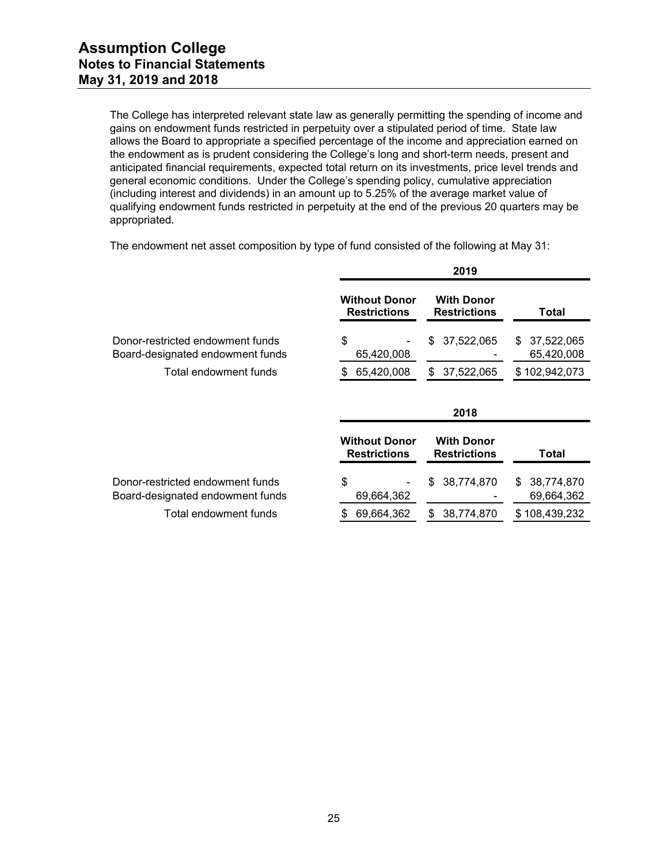The College has interpreted relevant state law as generally permitting the spending of income and gains on endowment funds restricted in perpetuity over a stipulated period of time. State law allows the Board to appropriate a specified percentage of the income and appreciation earned on the endowment as is prudent considering the College's long and short-term needs, present and anticipated financial requirements, expected total return on its investments, price level trends and general economic conditions. Under the College's spending policy, cumulative appreciation (including interest and dividends) in an amount up to 5.25% of the average market value of qualifying endowment funds restricted in perpetuity at the end of the previous 20 quarters may be appropriated.

|                                                                      | 2019                                        |                                          |                                |  |  |  |
|----------------------------------------------------------------------|---------------------------------------------|------------------------------------------|--------------------------------|--|--|--|
|                                                                      | <b>Without Donor</b><br><b>Restrictions</b> | <b>With Donor</b><br><b>Restrictions</b> | Total                          |  |  |  |
| Donor-restricted endowment funds<br>Board-designated endowment funds | \$<br>65,420,008                            | 37,522,065<br>S                          | 37,522,065<br>S.<br>65,420,008 |  |  |  |
| Total endowment funds                                                | 65,420,008<br>S                             | 37,522,065<br>S                          | \$102,942,073                  |  |  |  |
|                                                                      |                                             | 2018                                     |                                |  |  |  |
|                                                                      | <b>Without Donor</b><br><b>Restrictions</b> | <b>With Donor</b><br><b>Restrictions</b> | Total                          |  |  |  |
| Donor-restricted endowment funds                                     | \$                                          | 38,774,870<br>S                          | 38,774,870<br>S.               |  |  |  |
| Board-designated endowment funds                                     | 69,664,362                                  |                                          | 69,664,362                     |  |  |  |

The endowment net asset composition by type of fund consisted of the following at May 31: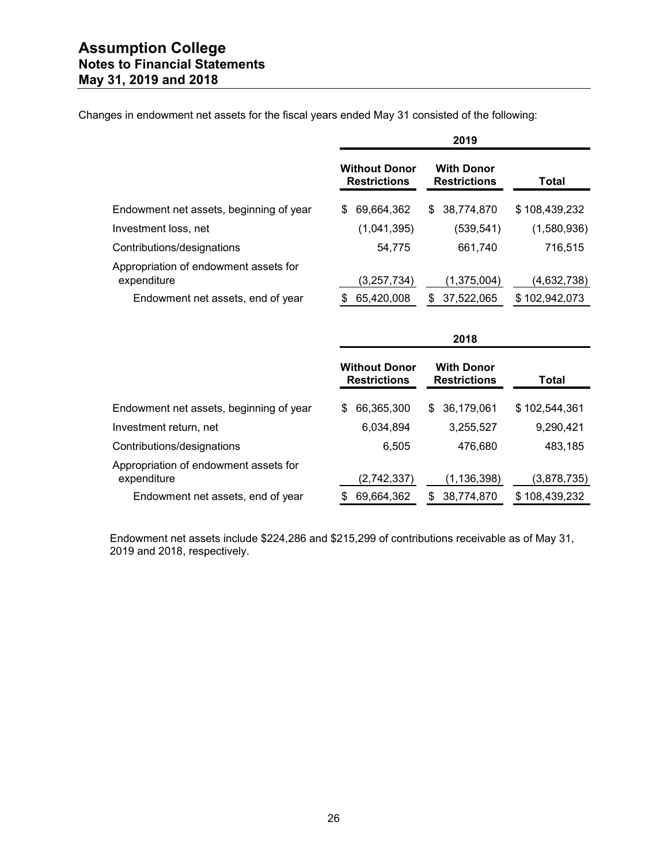|                                                                                           | 2019                                        |                                          |                              |  |  |  |
|-------------------------------------------------------------------------------------------|---------------------------------------------|------------------------------------------|------------------------------|--|--|--|
|                                                                                           | <b>Without Donor</b><br><b>Restrictions</b> | <b>With Donor</b><br><b>Restrictions</b> | Total                        |  |  |  |
| Endowment net assets, beginning of year                                                   | 69,664,362<br>S                             | 38,774,870<br>S.                         | \$108,439,232                |  |  |  |
| Investment loss, net                                                                      | (1,041,395)                                 | (539, 541)                               | (1,580,936)                  |  |  |  |
| Contributions/designations                                                                | 54,775                                      | 661,740                                  | 716,515                      |  |  |  |
| Appropriation of endowment assets for<br>expenditure<br>Endowment net assets, end of year | (3,257,734)<br>65,420,008                   | (1,375,004)<br>37,522,065<br>S           | (4,632,738)<br>\$102,942,073 |  |  |  |

Changes in endowment net assets for the fiscal years ended May 31 consisted of the following:

|                                                      | 2018                                        |                                          |               |  |
|------------------------------------------------------|---------------------------------------------|------------------------------------------|---------------|--|
|                                                      | <b>Without Donor</b><br><b>Restrictions</b> | <b>With Donor</b><br><b>Restrictions</b> | Total         |  |
| Endowment net assets, beginning of year              | 66,365,300<br>S                             | 36,179,061<br>\$.                        | \$102,544,361 |  |
| Investment return, net                               | 6,034,894                                   | 3,255,527                                | 9,290,421     |  |
| Contributions/designations                           | 6,505                                       | 476,680                                  | 483,185       |  |
| Appropriation of endowment assets for<br>expenditure | (2,742,337)                                 | (1, 136, 398)                            | (3,878,735)   |  |
| Endowment net assets, end of year                    | 69,664,362                                  | 38,774,870<br>S                          | \$108,439,232 |  |

Endowment net assets include \$224,286 and \$215,299 of contributions receivable as of May 31, 2019 and 2018, respectively.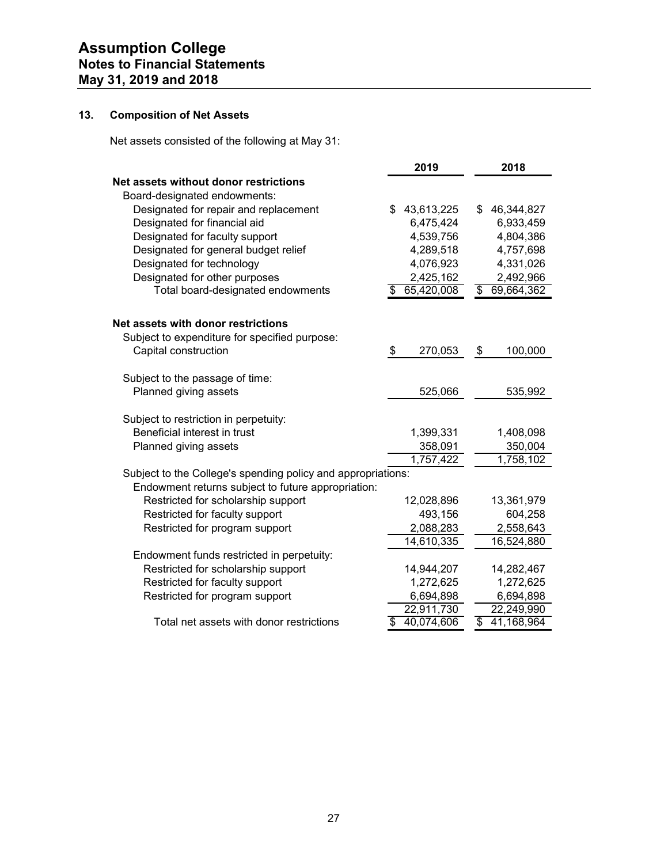# **13. Composition of Net Assets**

Net assets consisted of the following at May 31:

|                                                              | 2019             | 2018             |
|--------------------------------------------------------------|------------------|------------------|
| Net assets without donor restrictions                        |                  |                  |
| Board-designated endowments:                                 |                  |                  |
| Designated for repair and replacement                        | 43,613,225<br>\$ | \$<br>46,344,827 |
| Designated for financial aid                                 | 6,475,424        | 6,933,459        |
| Designated for faculty support                               | 4,539,756        | 4,804,386        |
| Designated for general budget relief                         | 4,289,518        | 4,757,698        |
| Designated for technology                                    | 4,076,923        | 4,331,026        |
| Designated for other purposes                                | 2,425,162        | 2,492,966        |
| Total board-designated endowments                            | 65,420,008<br>S  | \$<br>69,664,362 |
| Net assets with donor restrictions                           |                  |                  |
| Subject to expenditure for specified purpose:                |                  |                  |
| Capital construction                                         | \$<br>270,053    | \$<br>100,000    |
| Subject to the passage of time:                              |                  |                  |
| Planned giving assets                                        | 525,066          | 535,992          |
| Subject to restriction in perpetuity:                        |                  |                  |
| Beneficial interest in trust                                 | 1,399,331        | 1,408,098        |
| Planned giving assets                                        | 358,091          | 350,004          |
|                                                              | 1,757,422        | 1,758,102        |
| Subject to the College's spending policy and appropriations: |                  |                  |
| Endowment returns subject to future appropriation:           |                  |                  |
| Restricted for scholarship support                           | 12,028,896       | 13,361,979       |
| Restricted for faculty support                               | 493,156          | 604,258          |
| Restricted for program support                               | 2,088,283        | 2,558,643        |
|                                                              | 14,610,335       | 16,524,880       |
| Endowment funds restricted in perpetuity:                    |                  |                  |
| Restricted for scholarship support                           | 14,944,207       | 14,282,467       |
| Restricted for faculty support                               | 1,272,625        | 1,272,625        |
| Restricted for program support                               | 6,694,898        | 6,694,898        |
|                                                              | 22,911,730       | 22,249,990       |
| Total net assets with donor restrictions                     | 40,074,606<br>\$ | \$<br>41,168,964 |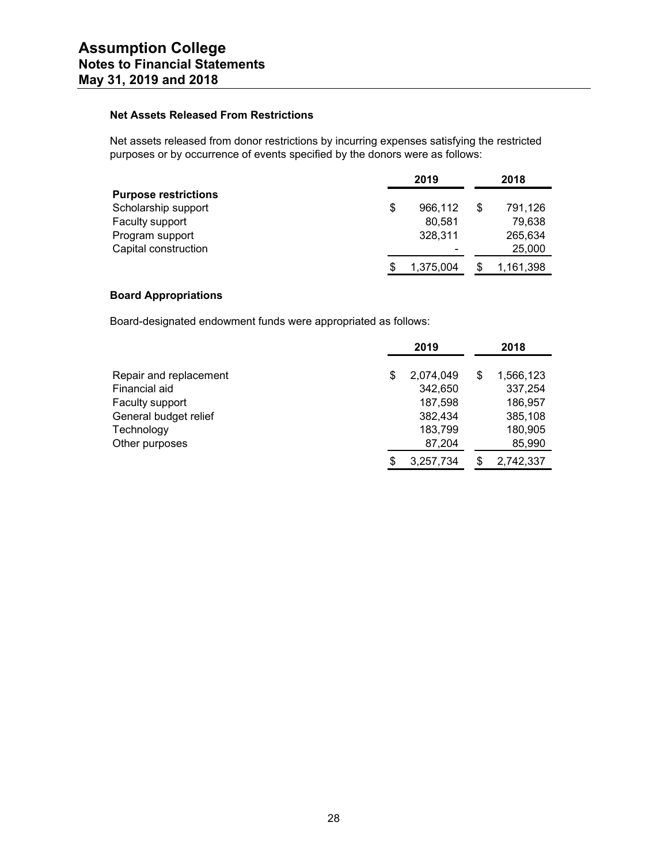## **Net Assets Released From Restrictions**

Net assets released from donor restrictions by incurring expenses satisfying the restricted purposes or by occurrence of events specified by the donors were as follows:

|                             | 2019          |   | 2018      |  |  |
|-----------------------------|---------------|---|-----------|--|--|
| <b>Purpose restrictions</b> |               |   |           |  |  |
| Scholarship support         | \$<br>966.112 | S | 791,126   |  |  |
| Faculty support             | 80.581        |   | 79,638    |  |  |
| Program support             | 328,311       |   | 265,634   |  |  |
| Capital construction        |               |   | 25,000    |  |  |
|                             | 1,375,004     |   | 1,161,398 |  |  |

# **Board Appropriations**

Board-designated endowment funds were appropriated as follows:

|                        | 2019 |           | 2018 |           |
|------------------------|------|-----------|------|-----------|
|                        |      |           |      |           |
| Repair and replacement | S    | 2,074,049 | \$   | 1,566,123 |
| Financial aid          |      | 342,650   |      | 337,254   |
| Faculty support        |      | 187,598   |      | 186,957   |
| General budget relief  |      | 382,434   |      | 385,108   |
| Technology             |      | 183,799   |      | 180,905   |
| Other purposes         |      | 87,204    |      | 85,990    |
|                        | \$.  | 3,257,734 | S    | 2,742,337 |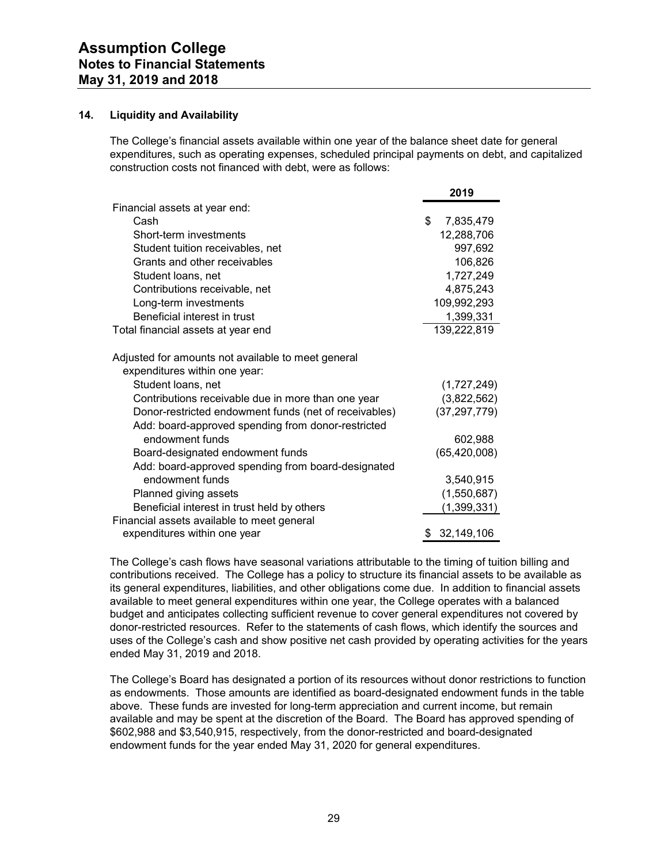#### **14. Liquidity and Availability**

The College's financial assets available within one year of the balance sheet date for general expenditures, such as operating expenses, scheduled principal payments on debt, and capitalized construction costs not financed with debt, were as follows:

|                                                                                     | 2019            |
|-------------------------------------------------------------------------------------|-----------------|
| Financial assets at year end:                                                       |                 |
| Cash                                                                                | \$<br>7,835,479 |
| Short-term investments                                                              | 12,288,706      |
| Student tuition receivables, net                                                    | 997,692         |
| Grants and other receivables                                                        | 106,826         |
| Student Ioans, net                                                                  | 1,727,249       |
| Contributions receivable, net                                                       | 4,875,243       |
| Long-term investments                                                               | 109,992,293     |
| Beneficial interest in trust                                                        | 1,399,331       |
| Total financial assets at year end                                                  | 139,222,819     |
| Adjusted for amounts not available to meet general<br>expenditures within one year: |                 |
| Student Ioans, net                                                                  | (1,727,249)     |
| Contributions receivable due in more than one year                                  | (3,822,562)     |
| Donor-restricted endowment funds (net of receivables)                               | (37, 297, 779)  |
| Add: board-approved spending from donor-restricted                                  |                 |
| endowment funds                                                                     | 602,988         |
| Board-designated endowment funds                                                    | (65, 420, 008)  |
| Add: board-approved spending from board-designated                                  |                 |
| endowment funds                                                                     | 3,540,915       |
| Planned giving assets                                                               | (1,550,687)     |
| Beneficial interest in trust held by others                                         | (1,399,331)     |
| Financial assets available to meet general                                          |                 |
| expenditures within one year                                                        | 32,149,106<br>S |

The College's cash flows have seasonal variations attributable to the timing of tuition billing and contributions received. The College has a policy to structure its financial assets to be available as its general expenditures, liabilities, and other obligations come due. In addition to financial assets available to meet general expenditures within one year, the College operates with a balanced budget and anticipates collecting sufficient revenue to cover general expenditures not covered by donor-restricted resources. Refer to the statements of cash flows, which identify the sources and uses of the College's cash and show positive net cash provided by operating activities for the years ended May 31, 2019 and 2018.

The College's Board has designated a portion of its resources without donor restrictions to function as endowments. Those amounts are identified as board-designated endowment funds in the table above. These funds are invested for long-term appreciation and current income, but remain available and may be spent at the discretion of the Board. The Board has approved spending of \$602,988 and \$3,540,915, respectively, from the donor-restricted and board-designated endowment funds for the year ended May 31, 2020 for general expenditures.